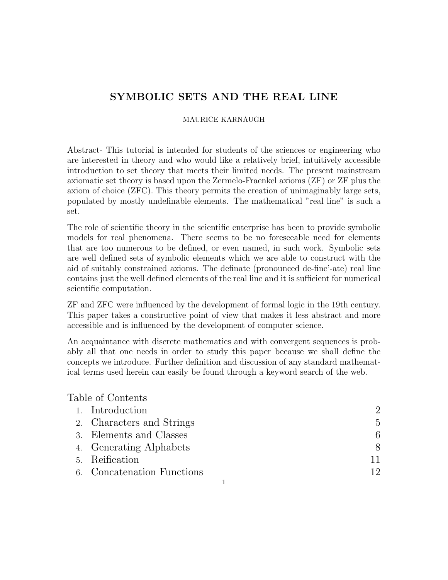#### MAURICE KARNAUGH

Abstract- This tutorial is intended for students of the sciences or engineering who are interested in theory and who would like a relatively brief, intuitively accessible introduction to set theory that meets their limited needs. The present mainstream axiomatic set theory is based upon the Zermelo-Fraenkel axioms (ZF) or ZF plus the axiom of choice (ZFC). This theory permits the creation of unimaginably large sets, populated by mostly undefinable elements. The mathematical "real line" is such a set.

The role of scientific theory in the scientific enterprise has been to provide symbolic models for real phenomena. There seems to be no foreseeable need for elements that are too numerous to be defined, or even named, in such work. Symbolic sets are well defined sets of symbolic elements which we are able to construct with the aid of suitably constrained axioms. The definate (pronounced de-fine'-ate) real line contains just the well defined elements of the real line and it is sufficient for numerical scientific computation.

ZF and ZFC were influenced by the development of formal logic in the 19th century. This paper takes a constructive point of view that makes it less abstract and more accessible and is influenced by the development of computer science.

An acquaintance with discrete mathematics and with convergent sequences is probably all that one needs in order to study this paper because we shall define the concepts we introduce. Further definition and discussion of any standard mathematical terms used herein can easily be found through a keyword search of the web.

## Table of Contents

| 1. Introduction            |                |
|----------------------------|----------------|
| 2. Characters and Strings  | $\overline{5}$ |
| 3. Elements and Classes    | 6              |
| 4. Generating Alphabets    | 8              |
| 5. Reification             |                |
| 6. Concatenation Functions | 12             |
|                            |                |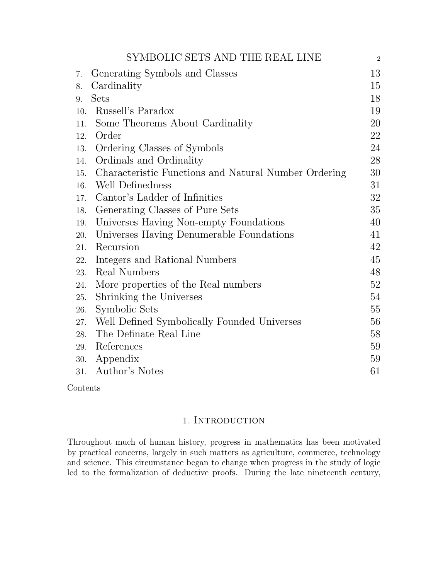|     | SYMBOLIC SETS AND THE REAL LINE                      | $\overline{2}$ |
|-----|------------------------------------------------------|----------------|
| 7.  | Generating Symbols and Classes                       | 13             |
| 8.  | Cardinality                                          | 15             |
| 9.  | <b>Sets</b>                                          | 18             |
| 10. | Russell's Paradox                                    | 19             |
| 11. | Some Theorems About Cardinality                      | 20             |
| 12. | Order                                                | 22             |
| 13. | Ordering Classes of Symbols                          | 24             |
| 14. | Ordinals and Ordinality                              | 28             |
| 15. | Characteristic Functions and Natural Number Ordering | 30             |
| 16. | Well Definedness                                     | 31             |
| 17. | Cantor's Ladder of Infinities                        | 32             |
| 18. | Generating Classes of Pure Sets                      | 35             |
| 19. | Universes Having Non-empty Foundations               | 40             |
| 20. | Universes Having Denumerable Foundations             | 41             |
| 21. | Recursion                                            | 42             |
| 22. | Integers and Rational Numbers                        | 45             |
| 23. | Real Numbers                                         | 48             |
| 24. | More properties of the Real numbers                  | 52             |
| 25. | Shrinking the Universes                              | 54             |
| 26. | Symbolic Sets                                        | 55             |
| 27. | Well Defined Symbolically Founded Universes          | 56             |
| 28. | The Definate Real Line                               | 58             |
| 29. | References                                           | 59             |
| 30. | Appendix                                             | 59             |
|     | 31. Author's Notes                                   | 61             |

Contents

## 1. Introduction

Throughout much of human history, progress in mathematics has been motivated by practical concerns, largely in such matters as agriculture, commerce, technology and science. This circumstance began to change when progress in the study of logic led to the formalization of deductive proofs. During the late nineteenth century,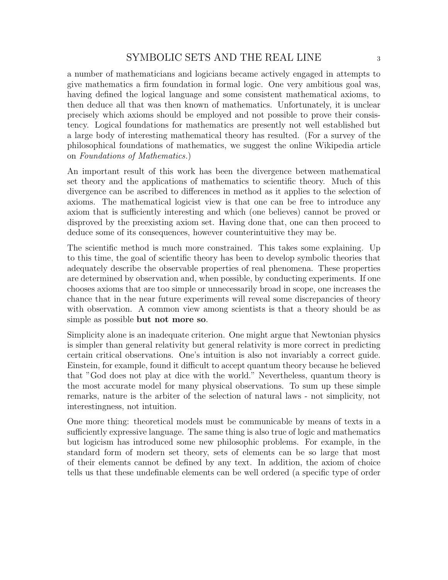a number of mathematicians and logicians became actively engaged in attempts to give mathematics a firm foundation in formal logic. One very ambitious goal was, having defined the logical language and some consistent mathematical axioms, to then deduce all that was then known of mathematics. Unfortunately, it is unclear precisely which axioms should be employed and not possible to prove their consistency. Logical foundations for mathematics are presently not well established but a large body of interesting mathematical theory has resulted. (For a survey of the philosophical foundations of mathematics, we suggest the online Wikipedia article on Foundations of Mathematics.)

An important result of this work has been the divergence between mathematical set theory and the applications of mathematics to scientific theory. Much of this divergence can be ascribed to differences in method as it applies to the selection of axioms. The mathematical logicist view is that one can be free to introduce any axiom that is sufficiently interesting and which (one believes) cannot be proved or disproved by the preexisting axiom set. Having done that, one can then proceed to deduce some of its consequences, however counterintuitive they may be.

The scientific method is much more constrained. This takes some explaining. Up to this time, the goal of scientific theory has been to develop symbolic theories that adequately describe the observable properties of real phenomena. These properties are determined by observation and, when possible, by conducting experiments. If one chooses axioms that are too simple or unnecessarily broad in scope, one increases the chance that in the near future experiments will reveal some discrepancies of theory with observation. A common view among scientists is that a theory should be as simple as possible but not more so.

Simplicity alone is an inadequate criterion. One might argue that Newtonian physics is simpler than general relativity but general relativity is more correct in predicting certain critical observations. One's intuition is also not invariably a correct guide. Einstein, for example, found it difficult to accept quantum theory because he believed that "God does not play at dice with the world." Nevertheless, quantum theory is the most accurate model for many physical observations. To sum up these simple remarks, nature is the arbiter of the selection of natural laws - not simplicity, not interestingness, not intuition.

One more thing: theoretical models must be communicable by means of texts in a sufficiently expressive language. The same thing is also true of logic and mathematics but logicism has introduced some new philosophic problems. For example, in the standard form of modern set theory, sets of elements can be so large that most of their elements cannot be defined by any text. In addition, the axiom of choice tells us that these undefinable elements can be well ordered (a specific type of order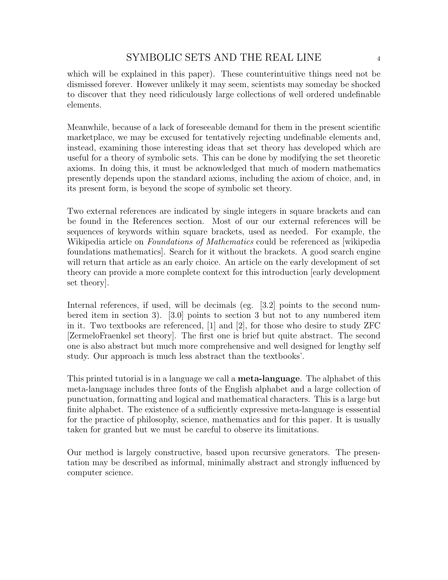which will be explained in this paper). These counterintuitive things need not be dismissed forever. However unlikely it may seem, scientists may someday be shocked to discover that they need ridiculously large collections of well ordered undefinable elements.

Meanwhile, because of a lack of foreseeable demand for them in the present scientific marketplace, we may be excused for tentatively rejecting undefinable elements and, instead, examining those interesting ideas that set theory has developed which are useful for a theory of symbolic sets. This can be done by modifying the set theoretic axioms. In doing this, it must be acknowledged that much of modern mathematics presently depends upon the standard axioms, including the axiom of choice, and, in its present form, is beyond the scope of symbolic set theory.

Two external references are indicated by single integers in square brackets and can be found in the References section. Most of our our external references will be sequences of keywords within square brackets, used as needed. For example, the Wikipedia article on *Foundations of Mathematics* could be referenced as wikipedia foundations mathematics]. Search for it without the brackets. A good search engine will return that article as an early choice. An article on the early development of set theory can provide a more complete context for this introduction [early development set theory].

Internal references, if used, will be decimals (eg. [3.2] points to the second numbered item in section 3). [3.0] points to section 3 but not to any numbered item in it. Two textbooks are referenced, [1] and [2], for those who desire to study ZFC [ZermeloFraenkel set theory]. The first one is brief but quite abstract. The second one is also abstract but much more comprehensive and well designed for lengthy self study. Our approach is much less abstract than the textbooks'.

This printed tutorial is in a language we call a **meta-language**. The alphabet of this meta-language includes three fonts of the English alphabet and a large collection of punctuation, formatting and logical and mathematical characters. This is a large but finite alphabet. The existence of a sufficiently expressive meta-language is esssential for the practice of philosophy, science, mathematics and for this paper. It is usually taken for granted but we must be careful to observe its limitations.

Our method is largely constructive, based upon recursive generators. The presentation may be described as informal, minimally abstract and strongly influenced by computer science.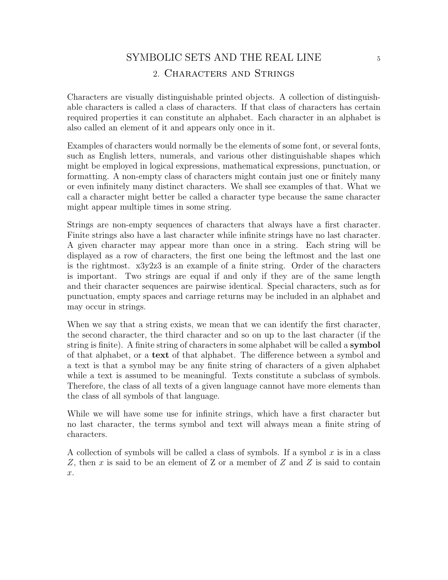# SYMBOLIC SETS AND THE REAL LINE  $_{5}$ 2. Characters and Strings

Characters are visually distinguishable printed objects. A collection of distinguishable characters is called a class of characters. If that class of characters has certain required properties it can constitute an alphabet. Each character in an alphabet is also called an element of it and appears only once in it.

Examples of characters would normally be the elements of some font, or several fonts, such as English letters, numerals, and various other distinguishable shapes which might be employed in logical expressions, mathematical expressions, punctuation, or formatting. A non-empty class of characters might contain just one or finitely many or even infinitely many distinct characters. We shall see examples of that. What we call a character might better be called a character type because the same character might appear multiple times in some string.

Strings are non-empty sequences of characters that always have a first character. Finite strings also have a last character while infinite strings have no last character. A given character may appear more than once in a string. Each string will be displayed as a row of characters, the first one being the leftmost and the last one is the rightmost. x3y2z3 is an example of a finite string. Order of the characters is important. Two strings are equal if and only if they are of the same length and their character sequences are pairwise identical. Special characters, such as for punctuation, empty spaces and carriage returns may be included in an alphabet and may occur in strings.

When we say that a string exists, we mean that we can identify the first character, the second character, the third character and so on up to the last character (if the string is finite). A finite string of characters in some alphabet will be called a symbol of that alphabet, or a text of that alphabet. The difference between a symbol and a text is that a symbol may be any finite string of characters of a given alphabet while a text is assumed to be meaningful. Texts constitute a subclass of symbols. Therefore, the class of all texts of a given language cannot have more elements than the class of all symbols of that language.

While we will have some use for infinite strings, which have a first character but no last character, the terms symbol and text will always mean a finite string of characters.

A collection of symbols will be called a class of symbols. If a symbol  $x$  is in a class  $Z$ , then  $x$  is said to be an element of  $Z$  or a member of  $Z$  and  $Z$  is said to contain x.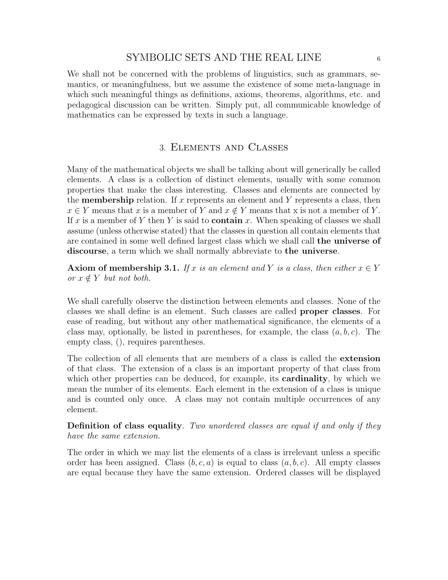We shall not be concerned with the problems of linguistics, such as grammars, semantics, or meaningfulness, but we assume the existence of some meta-language in which such meaningful things as definitions, axioms, theorems, algorithms, etc. and pedagogical discussion can be written. Simply put, all communicable knowledge of mathematics can be expressed by texts in such a language.

### 3. Elements and Classes

Many of the mathematical objects we shall be talking about will generically be called elements. A class is a collection of distinct elements, usually with some common properties that make the class interesting. Classes and elements are connected by the **membership** relation. If x represents an element and Y represents a class, then  $x \in Y$  means that x is a member of Y and  $x \notin Y$  means that x is not a member of Y. If x is a member of Y then Y is said to **contain** x. When speaking of classes we shall assume (unless otherwise stated) that the classes in question all contain elements that are contained in some well defined largest class which we shall call the universe of discourse, a term which we shall normally abbreviate to the universe.

**Axiom of membership 3.1.** If x is an element and Y is a class, then either  $x \in Y$ or  $x \notin Y$  but not both.

We shall carefully observe the distinction between elements and classes. None of the classes we shall define is an element. Such classes are called proper classes. For ease of reading, but without any other mathematical significance, the elements of a class may, optionally, be listed in parentheses, for example, the class  $(a, b, c)$ . The empty class, (), requires parentheses.

The collection of all elements that are members of a class is called the extension of that class. The extension of a class is an important property of that class from which other properties can be deduced, for example, its **cardinality**, by which we mean the number of its elements. Each element in the extension of a class is unique and is counted only once. A class may not contain multiple occurrences of any element.

Definition of class equality. Two unordered classes are equal if and only if they have the same extension.

The order in which we may list the elements of a class is irrelevant unless a specific order has been assigned. Class  $(b, c, a)$  is equal to class  $(a, b, c)$ . All empty classes are equal because they have the same extension. Ordered classes will be displayed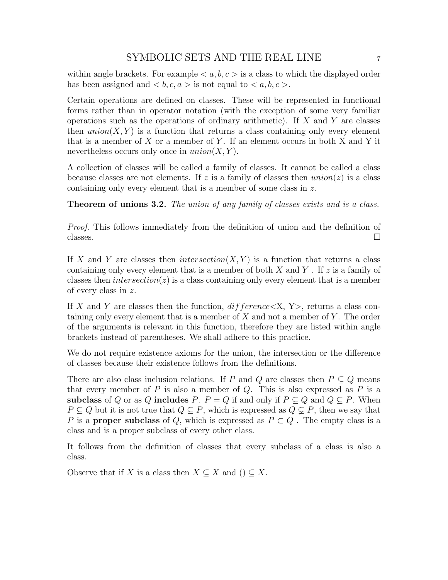within angle brackets. For example  $\langle a, b, c \rangle$  is a class to which the displayed order has been assigned and  **is not equal to**  $$ **.** 

Certain operations are defined on classes. These will be represented in functional forms rather than in operator notation (with the exception of some very familiar operations such as the operations of ordinary arithmetic). If  $X$  and  $Y$  are classes then  $union(X, Y)$  is a function that returns a class containing only every element that is a member of  $X$  or a member of  $Y$ . If an element occurs in both  $X$  and  $Y$  it nevertheless occurs only once in  $union(X, Y)$ .

A collection of classes will be called a family of classes. It cannot be called a class because classes are not elements. If z is a family of classes then  $union(z)$  is a class containing only every element that is a member of some class in z.

**Theorem of unions 3.2.** The union of any family of classes exists and is a class.

Proof. This follows immediately from the definition of union and the definition of  $\Box$ classes.

If X and Y are classes then intersection(X, Y) is a function that returns a class containing only every element that is a member of both X and Y. If  $z$  is a family of classes then *intersection*( $z$ ) is a class containing only every element that is a member of every class in z.

If X and Y are classes then the function,  $difference < X, Y >$ , returns a class containing only every element that is a member of  $X$  and not a member of  $Y$ . The order of the arguments is relevant in this function, therefore they are listed within angle brackets instead of parentheses. We shall adhere to this practice.

We do not require existence axioms for the union, the intersection or the difference of classes because their existence follows from the definitions.

There are also class inclusion relations. If P and Q are classes then  $P \subseteq Q$  means that every member of  $P$  is also a member of  $Q$ . This is also expressed as  $P$  is a subclass of Q or as Q includes P.  $P = Q$  if and only if  $P \subseteq Q$  and  $Q \subseteq P$ . When  $P \subseteq Q$  but it is not true that  $Q \subseteq P$ , which is expressed as  $Q \subsetneq P$ , then we say that P is a **proper subclass** of Q, which is expressed as  $P \subset Q$ . The empty class is a class and is a proper subclass of every other class.

It follows from the definition of classes that every subclass of a class is also a class.

Observe that if X is a class then  $X \subseteq X$  and  $() \subseteq X$ .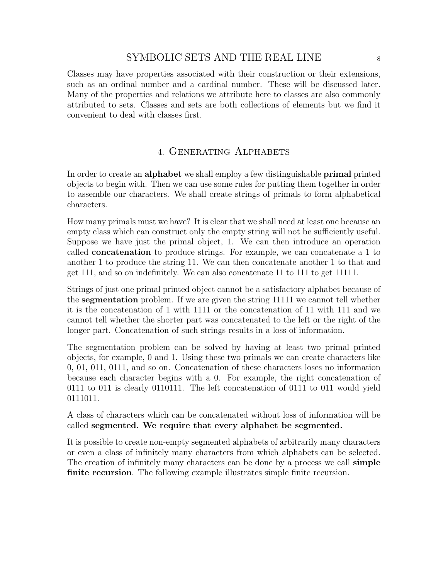Classes may have properties associated with their construction or their extensions, such as an ordinal number and a cardinal number. These will be discussed later. Many of the properties and relations we attribute here to classes are also commonly attributed to sets. Classes and sets are both collections of elements but we find it convenient to deal with classes first.

## 4. Generating Alphabets

In order to create an alphabet we shall employ a few distinguishable primal printed objects to begin with. Then we can use some rules for putting them together in order to assemble our characters. We shall create strings of primals to form alphabetical characters.

How many primals must we have? It is clear that we shall need at least one because an empty class which can construct only the empty string will not be sufficiently useful. Suppose we have just the primal object, 1. We can then introduce an operation called concatenation to produce strings. For example, we can concatenate a 1 to another 1 to produce the string 11. We can then concatenate another 1 to that and get 111, and so on indefinitely. We can also concatenate 11 to 111 to get 11111.

Strings of just one primal printed object cannot be a satisfactory alphabet because of the segmentation problem. If we are given the string 11111 we cannot tell whether it is the concatenation of 1 with 1111 or the concatenation of 11 with 111 and we cannot tell whether the shorter part was concatenated to the left or the right of the longer part. Concatenation of such strings results in a loss of information.

The segmentation problem can be solved by having at least two primal printed objects, for example, 0 and 1. Using these two primals we can create characters like 0, 01, 011, 0111, and so on. Concatenation of these characters loses no information because each character begins with a 0. For example, the right concatenation of 0111 to 011 is clearly 0110111. The left concatenation of 0111 to 011 would yield 0111011.

A class of characters which can be concatenated without loss of information will be called segmented. We require that every alphabet be segmented.

It is possible to create non-empty segmented alphabets of arbitrarily many characters or even a class of infinitely many characters from which alphabets can be selected. The creation of infinitely many characters can be done by a process we call simple finite recursion. The following example illustrates simple finite recursion.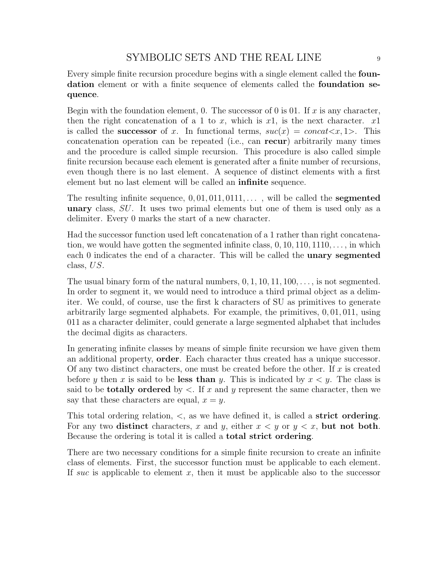Every simple finite recursion procedure begins with a single element called the foundation element or with a finite sequence of elements called the foundation sequence.

Begin with the foundation element, 0. The successor of 0 is 01. If x is any character, then the right concatenation of a 1 to x, which is  $x_1$ , is the next character.  $x_1$ is called the **successor** of x. In functional terms,  $suc(x) = concat \lt x, 1$ . This concatenation operation can be repeated (i.e., can recur) arbitrarily many times and the procedure is called simple recursion. This procedure is also called simple finite recursion because each element is generated after a finite number of recursions, even though there is no last element. A sequence of distinct elements with a first element but no last element will be called an infinite sequence.

The resulting infinite sequence,  $0, 01, 011, 011, \ldots$ , will be called the **segmented** unary class, SU. It uses two primal elements but one of them is used only as a delimiter. Every 0 marks the start of a new character.

Had the successor function used left concatenation of a 1 rather than right concatenation, we would have gotten the segmented infinite class,  $0, 10, 110, 1110, \ldots$ , in which each 0 indicates the end of a character. This will be called the **unary segmented** class, US.

The usual binary form of the natural numbers,  $0, 1, 10, 11, 100, \ldots$ , is not segmented. In order to segment it, we would need to introduce a third primal object as a delimiter. We could, of course, use the first k characters of SU as primitives to generate arbitrarily large segmented alphabets. For example, the primitives, 0, 01, 011, using 011 as a character delimiter, could generate a large segmented alphabet that includes the decimal digits as characters.

In generating infinite classes by means of simple finite recursion we have given them an additional property, order. Each character thus created has a unique successor. Of any two distinct characters, one must be created before the other. If  $x$  is created before y then x is said to be less than y. This is indicated by  $x \leq y$ . The class is said to be **totally ordered** by  $\lt$ . If x and y represent the same character, then we say that these characters are equal,  $x = y$ .

This total ordering relation,  $\lt$ , as we have defined it, is called a **strict ordering**. For any two distinct characters, x and y, either  $x < y$  or  $y < x$ , but not both. Because the ordering is total it is called a total strict ordering.

There are two necessary conditions for a simple finite recursion to create an infinite class of elements. First, the successor function must be applicable to each element. If such is applicable to element x, then it must be applicable also to the successor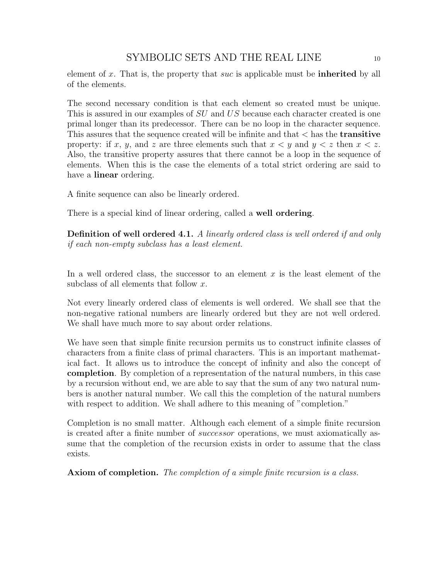element of  $x$ . That is, the property that  $suc$  is applicable must be **inherited** by all of the elements.

The second necessary condition is that each element so created must be unique. This is assured in our examples of SU and US because each character created is one primal longer than its predecessor. There can be no loop in the character sequence. This assures that the sequence created will be infinite and that  $\lt$  has the **transitive** property: if x, y, and z are three elements such that  $x < y$  and  $y < z$  then  $x < z$ . Also, the transitive property assures that there cannot be a loop in the sequence of elements. When this is the case the elements of a total strict ordering are said to have a **linear** ordering.

A finite sequence can also be linearly ordered.

There is a special kind of linear ordering, called a well ordering.

**Definition of well ordered 4.1.** A linearly ordered class is well ordered if and only if each non-empty subclass has a least element.

In a well ordered class, the successor to an element  $x$  is the least element of the subclass of all elements that follow  $x$ .

Not every linearly ordered class of elements is well ordered. We shall see that the non-negative rational numbers are linearly ordered but they are not well ordered. We shall have much more to say about order relations.

We have seen that simple finite recursion permits us to construct infinite classes of characters from a finite class of primal characters. This is an important mathematical fact. It allows us to introduce the concept of infinity and also the concept of completion. By completion of a representation of the natural numbers, in this case by a recursion without end, we are able to say that the sum of any two natural numbers is another natural number. We call this the completion of the natural numbers with respect to addition. We shall adhere to this meaning of "completion."

Completion is no small matter. Although each element of a simple finite recursion is created after a finite number of successor operations, we must axiomatically assume that the completion of the recursion exists in order to assume that the class exists.

Axiom of completion. The completion of a simple finite recursion is a class.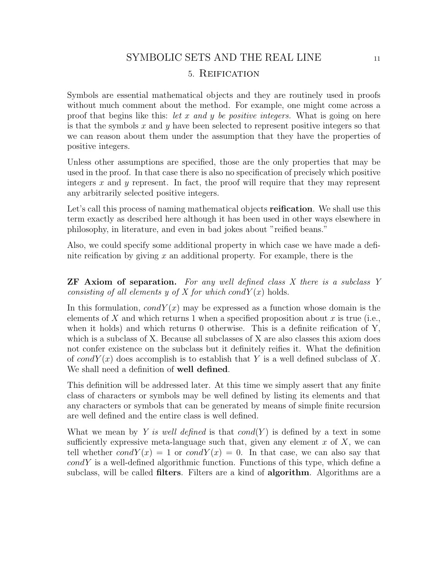# SYMBOLIC SETS AND THE REAL LINE 11 5. Reification

Symbols are essential mathematical objects and they are routinely used in proofs without much comment about the method. For example, one might come across a proof that begins like this: let x and y be positive integers. What is going on here is that the symbols  $x$  and  $y$  have been selected to represent positive integers so that we can reason about them under the assumption that they have the properties of positive integers.

Unless other assumptions are specified, those are the only properties that may be used in the proof. In that case there is also no specification of precisely which positive integers x and y represent. In fact, the proof will require that they may represent any arbitrarily selected positive integers.

Let's call this process of naming mathematical objects **reification**. We shall use this term exactly as described here although it has been used in other ways elsewhere in philosophy, in literature, and even in bad jokes about "reified beans."

Also, we could specify some additional property in which case we have made a definite reification by giving  $x$  an additional property. For example, there is the

**ZF** Axiom of separation. For any well defined class X there is a subclass Y consisting of all elements y of X for which cond $Y(x)$  holds.

In this formulation,  $condY(x)$  may be expressed as a function whose domain is the elements of X and which returns 1 when a specified proposition about  $x$  is true (i.e., when it holds) and which returns 0 otherwise. This is a definite reification of Y, which is a subclass of X. Because all subclasses of X are also classes this axiom does not confer existence on the subclass but it definitely reifies it. What the definition of condY(x) does accomplish is to establish that Y is a well defined subclass of X. We shall need a definition of **well defined**.

This definition will be addressed later. At this time we simply assert that any finite class of characters or symbols may be well defined by listing its elements and that any characters or symbols that can be generated by means of simple finite recursion are well defined and the entire class is well defined.

What we mean by Y is well defined is that  $cond(Y)$  is defined by a text in some sufficiently expressive meta-language such that, given any element  $x$  of  $X$ , we can tell whether  $condY(x) = 1$  or  $condY(x) = 0$ . In that case, we can also say that  $condY$  is a well-defined algorithmic function. Functions of this type, which define a subclass, will be called **filters**. Filters are a kind of **algorithm**. Algorithms are a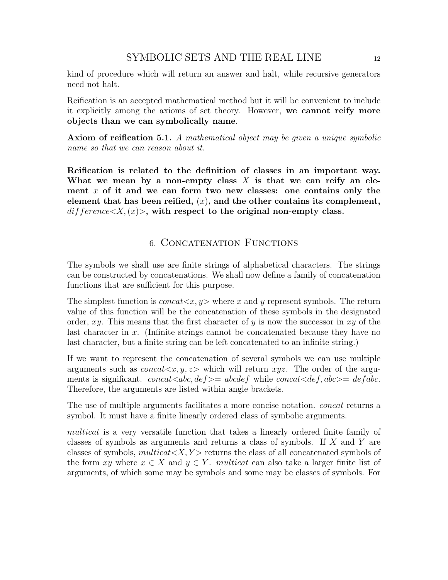kind of procedure which will return an answer and halt, while recursive generators need not halt.

Reification is an accepted mathematical method but it will be convenient to include it explicitly among the axioms of set theory. However, we cannot reify more objects than we can symbolically name.

Axiom of reification 5.1. A mathematical object may be given a unique symbolic name so that we can reason about it.

Reification is related to the definition of classes in an important way. What we mean by a non-empty class  $X$  is that we can reify an element x of it and we can form two new classes: one contains only the element that has been reified,  $(x)$ , and the other contains its complement,  $difference < X, (x)$ , with respect to the original non-empty class.

## 6. Concatenation Functions

The symbols we shall use are finite strings of alphabetical characters. The strings can be constructed by concatenations. We shall now define a family of concatenation functions that are sufficient for this purpose.

The simplest function is  $concat < x, y>$  where x and y represent symbols. The return value of this function will be the concatenation of these symbols in the designated order, xy. This means that the first character of y is now the successor in xy of the last character in x. (Infinite strings cannot be concatenated because they have no last character, but a finite string can be left concatenated to an infinite string.)

If we want to represent the concatenation of several symbols we can use multiple arguments such as  $concat < x, y, z$  which will return  $xyz$ . The order of the arguments is significant. concat $\langle \det \rangle = ab \langle \det \rangle$  while concat $\langle \det \rangle$ ,  $abc \rangle = de fabc$ . Therefore, the arguments are listed within angle brackets.

The use of multiple arguments facilitates a more concise notation. *concat* returns a symbol. It must have a finite linearly ordered class of symbolic arguments.

multicat is a very versatile function that takes a linearly ordered finite family of classes of symbols as arguments and returns a class of symbols. If X and Y are classes of symbols,  $multicat < X, Y$  returns the class of all concatenated symbols of the form xy where  $x \in X$  and  $y \in Y$ . multicat can also take a larger finite list of arguments, of which some may be symbols and some may be classes of symbols. For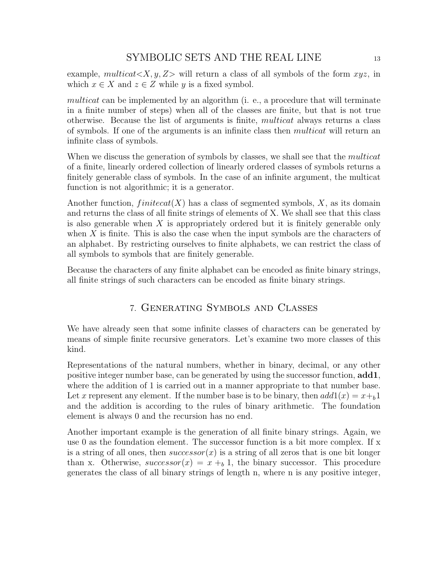example, multicat $\langle X, y, Z \rangle$  will return a class of all symbols of the form  $xyz$ , in which  $x \in X$  and  $z \in Z$  while y is a fixed symbol.

multicat can be implemented by an algorithm (i. e., a procedure that will terminate in a finite number of steps) when all of the classes are finite, but that is not true otherwise. Because the list of arguments is finite, multicat always returns a class of symbols. If one of the arguments is an infinite class then multicat will return an infinite class of symbols.

When we discuss the generation of symbols by classes, we shall see that the *multicat* of a finite, linearly ordered collection of linearly ordered classes of symbols returns a finitely generable class of symbols. In the case of an infinite argument, the multicat function is not algorithmic; it is a generator.

Another function,  $finitecat(X)$  has a class of segmented symbols, X, as its domain and returns the class of all finite strings of elements of X. We shall see that this class is also generable when  $X$  is appropriately ordered but it is finitely generable only when  $X$  is finite. This is also the case when the input symbols are the characters of an alphabet. By restricting ourselves to finite alphabets, we can restrict the class of all symbols to symbols that are finitely generable.

Because the characters of any finite alphabet can be encoded as finite binary strings, all finite strings of such characters can be encoded as finite binary strings.

## 7. Generating Symbols and Classes

We have already seen that some infinite classes of characters can be generated by means of simple finite recursive generators. Let's examine two more classes of this kind.

Representations of the natural numbers, whether in binary, decimal, or any other positive integer number base, can be generated by using the successor function,  $add1$ , where the addition of 1 is carried out in a manner appropriate to that number base. Let x represent any element. If the number base is to be binary, then  $add1(x) = x + b1$ and the addition is according to the rules of binary arithmetic. The foundation element is always 0 and the recursion has no end.

Another important example is the generation of all finite binary strings. Again, we use 0 as the foundation element. The successor function is a bit more complex. If x is a string of all ones, then  $successor(x)$  is a string of all zeros that is one bit longer than x. Otherwise,  $successor(x) = x + b$ , the binary successor. This procedure generates the class of all binary strings of length n, where n is any positive integer,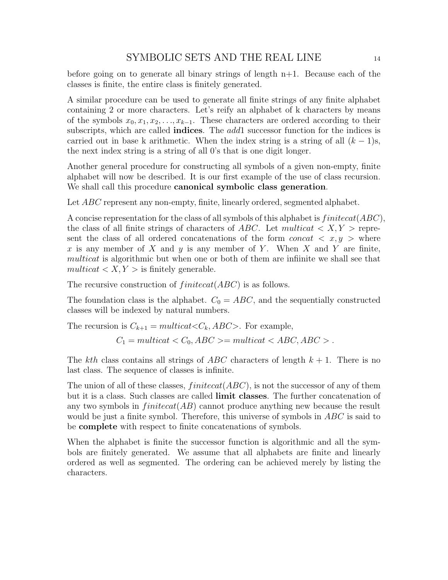before going on to generate all binary strings of length  $n+1$ . Because each of the classes is finite, the entire class is finitely generated.

A similar procedure can be used to generate all finite strings of any finite alphabet containing 2 or more characters. Let's reify an alphabet of k characters by means of the symbols  $x_0, x_1, x_2, \ldots, x_{k-1}$ . These characters are ordered according to their subscripts, which are called **indices**. The *add*1 successor function for the indices is carried out in base k arithmetic. When the index string is a string of all  $(k - 1)s$ , the next index string is a string of all 0's that is one digit longer.

Another general procedure for constructing all symbols of a given non-empty, finite alphabet will now be described. It is our first example of the use of class recursion. We shall call this procedure **canonical symbolic class generation**.

Let *ABC* represent any non-empty, finite, linearly ordered, segmented alphabet.

A concise representation for the class of all symbols of this alphabet is  $finitecat(ABC)$ , the class of all finite strings of characters of ABC. Let multicat  $\langle X, Y \rangle$  represent the class of all ordered concatenations of the form *concat*  $\langle x, y \rangle$  where x is any member of X and  $\gamma$  is any member of Y. When X and Y are finite, multicat is algorithmic but when one or both of them are infiinite we shall see that  $multicat < X, Y >$  is finitely generable.

The recursive construction of  $finitecat(ABC)$  is as follows.

The foundation class is the alphabet.  $C_0 = ABC$ , and the sequentially constructed classes will be indexed by natural numbers.

The recursion is  $C_{k+1} = multicat \lt C_k, ABC \gt$ . For example,

 $C_1 = multicat < C_0, ABC >= multicat < ABC, ABC > .$ 

The kth class contains all strings of ABC characters of length  $k + 1$ . There is no last class. The sequence of classes is infinite.

The union of all of these classes,  $finitecat(ABC)$ , is not the successor of any of them but it is a class. Such classes are called limit classes. The further concatenation of any two symbols in  $finitecat(AB)$  cannot produce anything new because the result would be just a finite symbol. Therefore, this universe of symbols in ABC is said to be complete with respect to finite concatenations of symbols.

When the alphabet is finite the successor function is algorithmic and all the symbols are finitely generated. We assume that all alphabets are finite and linearly ordered as well as segmented. The ordering can be achieved merely by listing the characters.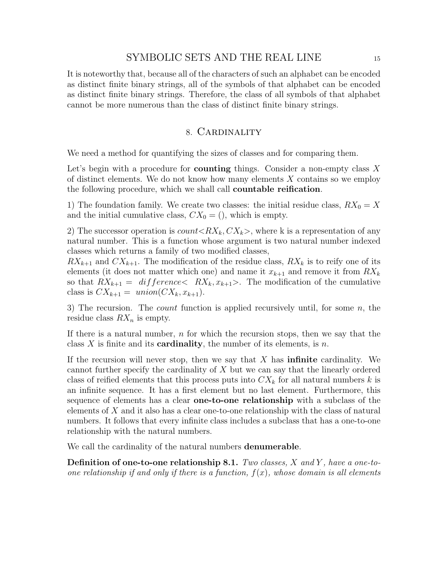It is noteworthy that, because all of the characters of such an alphabet can be encoded as distinct finite binary strings, all of the symbols of that alphabet can be encoded as distinct finite binary strings. Therefore, the class of all symbols of that alphabet cannot be more numerous than the class of distinct finite binary strings.

#### 8. Cardinality

We need a method for quantifying the sizes of classes and for comparing them.

Let's begin with a procedure for **counting** things. Consider a non-empty class  $X$ of distinct elements. We do not know how many elements  $X$  contains so we employ the following procedure, which we shall call countable reification.

1) The foundation family. We create two classes: the initial residue class,  $RX_0 = X$ and the initial cumulative class,  $CX_0 = ()$ , which is empty.

2) The successor operation is  $count < RX_k, CX_k$ , where k is a representation of any natural number. This is a function whose argument is two natural number indexed classes which returns a family of two modified classes,

 $RX_{k+1}$  and  $CX_{k+1}$ . The modification of the residue class,  $RX_k$  is to reify one of its elements (it does not matter which one) and name it  $x_{k+1}$  and remove it from  $RX_k$ so that  $RX_{k+1} = \text{difference} & RX_k, x_{k+1} >$ . The modification of the cumulative class is  $CX_{k+1} =$  union( $CX_k, x_{k+1}$ ).

3) The recursion. The *count* function is applied recursively until, for some  $n$ , the residue class  $RX_n$  is empty.

If there is a natural number,  $n$  for which the recursion stops, then we say that the class X is finite and its **cardinality**, the number of its elements, is n.

If the recursion will never stop, then we say that  $X$  has **infinite** cardinality. We cannot further specify the cardinality of  $X$  but we can say that the linearly ordered class of reified elements that this process puts into  $CX_k$  for all natural numbers k is an infinite sequence. It has a first element but no last element. Furthermore, this sequence of elements has a clear one-to-one relationship with a subclass of the elements of X and it also has a clear one-to-one relationship with the class of natural numbers. It follows that every infinite class includes a subclass that has a one-to-one relationship with the natural numbers.

We call the cardinality of the natural numbers denumerable.

**Definition of one-to-one relationship 8.1.** Two classes,  $X$  and  $Y$ , have a one-toone relationship if and only if there is a function,  $f(x)$ , whose domain is all elements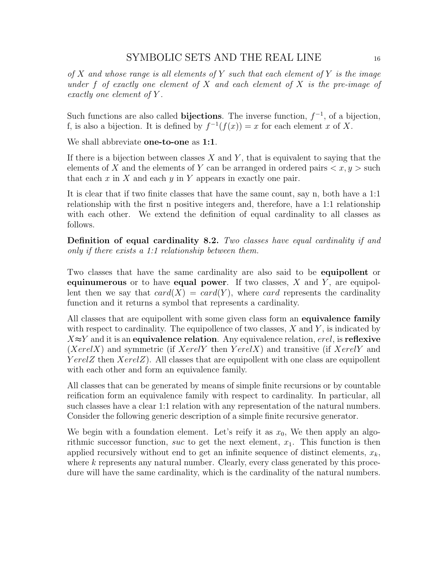of X and whose range is all elements of Y such that each element of Y is the image under f of exactly one element of X and each element of X is the pre-image of exactly one element of Y .

Such functions are also called **bijections**. The inverse function,  $f^{-1}$ , of a bijection, f, is also a bijection. It is defined by  $f^{-1}(f(x)) = x$  for each element x of X.

We shall abbreviate **one-to-one** as **1:1**.

If there is a bijection between classes  $X$  and  $Y$ , that is equivalent to saying that the elements of X and the elements of Y can be arranged in ordered pairs  $\langle x, y \rangle$  such that each  $x$  in  $X$  and each  $y$  in  $Y$  appears in exactly one pair.

It is clear that if two finite classes that have the same count, say n, both have a 1:1 relationship with the first n positive integers and, therefore, have a 1:1 relationship with each other. We extend the definition of equal cardinality to all classes as follows.

Definition of equal cardinality 8.2. Two classes have equal cardinality if and only if there exists a 1:1 relationship between them.

Two classes that have the same cardinality are also said to be equipollent or equinumerous or to have equal power. If two classes,  $X$  and  $Y$ , are equipollent then we say that  $card(X) = card(Y)$ , where card represents the cardinality function and it returns a symbol that represents a cardinality.

All classes that are equipollent with some given class form an **equivalence family** with respect to cardinality. The equipollence of two classes,  $X$  and  $Y$ , is indicated by  $X \approx Y$  and it is an equivalence relation. Any equivalence relation, erel, is reflexive  $(XerelX)$  and symmetric (if  $XerelY$  then  $YerelX$ ) and transitive (if  $XerelY$  and YerelZ then  $XerelZ$ ). All classes that are equipollent with one class are equipollent with each other and form an equivalence family.

All classes that can be generated by means of simple finite recursions or by countable reification form an equivalence family with respect to cardinality. In particular, all such classes have a clear 1:1 relation with any representation of the natural numbers. Consider the following generic description of a simple finite recursive generator.

We begin with a foundation element. Let's reify it as  $x_0$ , We then apply an algorithmic successor function, suc to get the next element,  $x_1$ . This function is then applied recursively without end to get an infinite sequence of distinct elements,  $x_k$ , where k represents any natural number. Clearly, every class generated by this procedure will have the same cardinality, which is the cardinality of the natural numbers.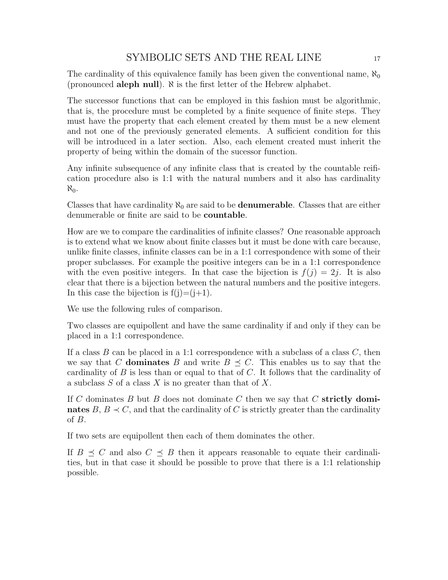The cardinality of this equivalence family has been given the conventional name,  $\aleph_0$ (pronounced aleph null). ℵ is the first letter of the Hebrew alphabet.

The successor functions that can be employed in this fashion must be algorithmic, that is, the procedure must be completed by a finite sequence of finite steps. They must have the property that each element created by them must be a new element and not one of the previously generated elements. A sufficient condition for this will be introduced in a later section. Also, each element created must inherit the property of being within the domain of the sucessor function.

Any infinite subsequence of any infinite class that is created by the countable reification procedure also is 1:1 with the natural numbers and it also has cardinality  $\aleph_0$ .

Classes that have cardinality  $\aleph_0$  are said to be **denumerable**. Classes that are either denumerable or finite are said to be countable.

How are we to compare the cardinalities of infinite classes? One reasonable approach is to extend what we know about finite classes but it must be done with care because, unlike finite classes, infinite classes can be in a 1:1 correspondence with some of their proper subclasses. For example the positive integers can be in a 1:1 correspondence with the even positive integers. In that case the bijection is  $f(j) = 2j$ . It is also clear that there is a bijection between the natural numbers and the positive integers. In this case the bijection is  $f(j)=(j+1)$ .

We use the following rules of comparison.

Two classes are equipollent and have the same cardinality if and only if they can be placed in a 1:1 correspondence.

If a class  $B$  can be placed in a 1:1 correspondence with a subclass of a class  $C$ , then we say that C dominates B and write  $B \preceq C$ . This enables us to say that the cardinality of  $B$  is less than or equal to that of  $C$ . It follows that the cardinality of a subclass  $S$  of a class  $X$  is no greater than that of  $X$ .

If C dominates B but B does not dominate C then we say that C strictly dominates  $B, B \prec C$ , and that the cardinality of C is strictly greater than the cardinality of B.

If two sets are equipollent then each of them dominates the other.

If  $B \preceq C$  and also  $C \preceq B$  then it appears reasonable to equate their cardinalities, but in that case it should be possible to prove that there is a 1:1 relationship possible.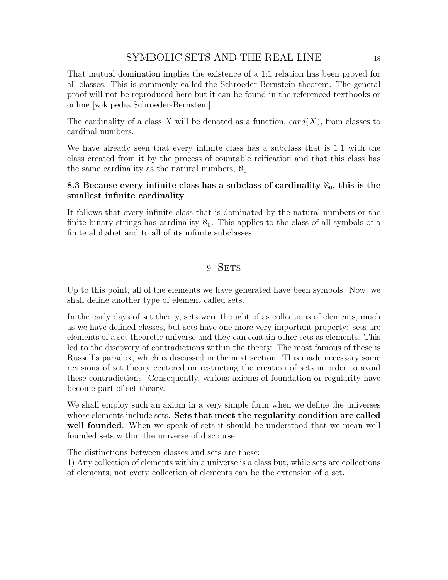That mutual domination implies the existence of a 1:1 relation has been proved for all classes. This is commonly called the Schroeder-Bernstein theorem. The general proof will not be reproduced here but it can be found in the referenced textbooks or online [wikipedia Schroeder-Bernstein].

The cardinality of a class X will be denoted as a function,  $card(X)$ , from classes to cardinal numbers.

We have already seen that every infinite class has a subclass that is 1:1 with the class created from it by the process of countable reification and that this class has the same cardinality as the natural numbers,  $\aleph_0$ .

### 8.3 Because every infinite class has a subclass of cardinality  $\aleph_0$ , this is the smallest infinite cardinality.

It follows that every infinite class that is dominated by the natural numbers or the finite binary strings has cardinality  $\aleph_0$ . This applies to the class of all symbols of a finite alphabet and to all of its infinite subclasses.

## 9. SETS

Up to this point, all of the elements we have generated have been symbols. Now, we shall define another type of element called sets.

In the early days of set theory, sets were thought of as collections of elements, much as we have defined classes, but sets have one more very important property: sets are elements of a set theoretic universe and they can contain other sets as elements. This led to the discovery of contradictions within the theory. The most famous of these is Russell's paradox, which is discussed in the next section. This made necessary some revisions of set theory centered on restricting the creation of sets in order to avoid these contradictions. Consequently, various axioms of foundation or regularity have become part of set theory.

We shall employ such an axiom in a very simple form when we define the universes whose elements include sets. Sets that meet the regularity condition are called well founded. When we speak of sets it should be understood that we mean well founded sets within the universe of discourse.

The distinctions between classes and sets are these:

1) Any collection of elements within a universe is a class but, while sets are collections of elements, not every collection of elements can be the extension of a set.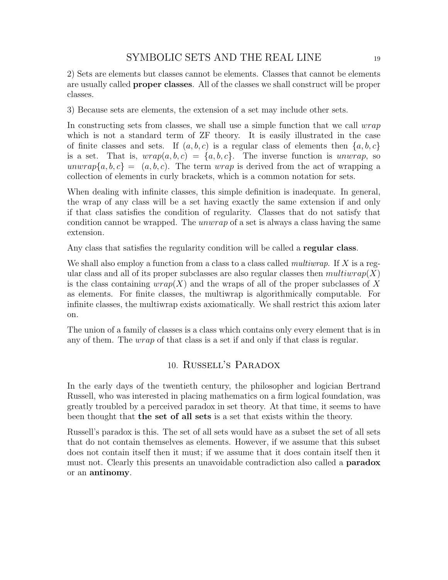2) Sets are elements but classes cannot be elements. Classes that cannot be elements are usually called proper classes. All of the classes we shall construct will be proper classes.

3) Because sets are elements, the extension of a set may include other sets.

In constructing sets from classes, we shall use a simple function that we call *wrap* which is not a standard term of  $ZF$  theory. It is easily illustrated in the case of finite classes and sets. If  $(a, b, c)$  is a regular class of elements then  $\{a, b, c\}$ is a set. That is,  $wrap(a, b, c) = \{a, b, c\}$ . The inverse function is unwrap, so unwrap $\{a, b, c\} = (a, b, c)$ . The term wrap is derived from the act of wrapping a collection of elements in curly brackets, which is a common notation for sets.

When dealing with infinite classes, this simple definition is inadequate. In general, the wrap of any class will be a set having exactly the same extension if and only if that class satisfies the condition of regularity. Classes that do not satisfy that condition cannot be wrapped. The unwrap of a set is always a class having the same extension.

Any class that satisfies the regularity condition will be called a regular class.

We shall also employ a function from a class to a class called *multiwrap*. If X is a regular class and all of its proper subclasses are also regular classes then  $multiwrap(X)$ is the class containing  $wrap(X)$  and the wraps of all of the proper subclasses of X as elements. For finite classes, the multiwrap is algorithmically computable. For infinite classes, the multiwrap exists axiomatically. We shall restrict this axiom later on.

The union of a family of classes is a class which contains only every element that is in any of them. The wrap of that class is a set if and only if that class is regular.

## 10. Russell's Paradox

In the early days of the twentieth century, the philosopher and logician Bertrand Russell, who was interested in placing mathematics on a firm logical foundation, was greatly troubled by a perceived paradox in set theory. At that time, it seems to have been thought that the set of all sets is a set that exists within the theory.

Russell's paradox is this. The set of all sets would have as a subset the set of all sets that do not contain themselves as elements. However, if we assume that this subset does not contain itself then it must; if we assume that it does contain itself then it must not. Clearly this presents an unavoidable contradiction also called a **paradox** or an antinomy.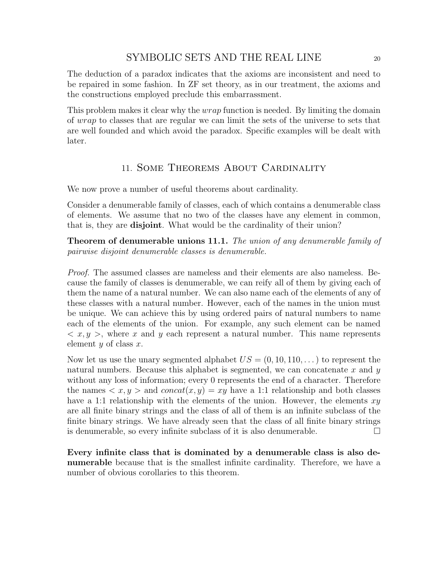The deduction of a paradox indicates that the axioms are inconsistent and need to be repaired in some fashion. In ZF set theory, as in our treatment, the axioms and the constructions employed preclude this embarrassment.

This problem makes it clear why the wrap function is needed. By limiting the domain of wrap to classes that are regular we can limit the sets of the universe to sets that are well founded and which avoid the paradox. Specific examples will be dealt with later.

## 11. Some Theorems About Cardinality

We now prove a number of useful theorems about cardinality.

Consider a denumerable family of classes, each of which contains a denumerable class of elements. We assume that no two of the classes have any element in common, that is, they are disjoint. What would be the cardinality of their union?

**Theorem of denumerable unions 11.1.** The union of any denumerable family of pairwise disjoint denumerable classes is denumerable.

Proof. The assumed classes are nameless and their elements are also nameless. Because the family of classes is denumerable, we can reify all of them by giving each of them the name of a natural number. We can also name each of the elements of any of these classes with a natural number. However, each of the names in the union must be unique. We can achieve this by using ordered pairs of natural numbers to name each of the elements of the union. For example, any such element can be named  $\langle x, y \rangle$ , where x and y each represent a natural number. This name represents element  $y$  of class  $x$ .

Now let us use the unary segmented alphabet  $US = (0, 10, 110, ...)$  to represent the natural numbers. Because this alphabet is segmented, we can concatenate  $x$  and  $y$ without any loss of information; every 0 represents the end of a character. Therefore the names  $\langle x, y \rangle$  and  $concat(x, y) = xy$  have a 1:1 relationship and both classes have a 1:1 relationship with the elements of the union. However, the elements  $xy$ are all finite binary strings and the class of all of them is an infinite subclass of the finite binary strings. We have already seen that the class of all finite binary strings is denumerable, so every infinite subclass of it is also denumerable.  $\Box$ 

Every infinite class that is dominated by a denumerable class is also denumerable because that is the smallest infinite cardinality. Therefore, we have a number of obvious corollaries to this theorem.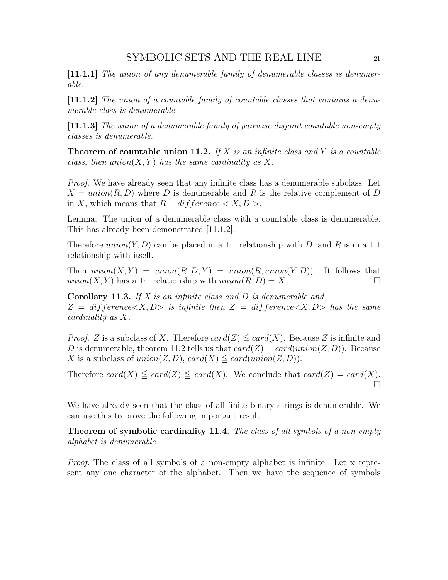[11.1.1] The union of any denumerable family of denumerable classes is denumerable.

[11.1.2] The union of a countable family of countable classes that contains a denumerable class is denumerable.

[11.1.3] The union of a denumerable family of pairwise disjoint countable non-empty classes is denumerable.

**Theorem of countable union 11.2.** If X is an infinite class and Y is a countable class, then  $union(X, Y)$  has the same cardinality as X.

Proof. We have already seen that any infinite class has a denumerable subclass. Let  $X = union(R, D)$  where D is denumerable and R is the relative complement of D in X, which means that  $R = diffference < X, D >$ .

Lemma. The union of a denumerable class with a countable class is denumerable. This has already been demonstrated [11.1.2].

Therefore union(Y, D) can be placed in a 1:1 relationship with D, and R is in a 1:1 relationship with itself.

Then  $union(X, Y) = union(R, D, Y) = union(R, union(Y, D))$ . It follows that  $union(X, Y)$  has a 1:1 relationship with  $union(R, D) = X$ .

**Corollary 11.3.** If  $X$  is an infinite class and  $D$  is denumerable and  $Z = \text{difference} \langle X, D \rangle$  is infinite then  $Z = \text{difference} \langle X, D \rangle$  has the same cardinality as X.

*Proof.* Z is a subclass of X. Therefore  $card(Z) \leq card(X)$ . Because Z is infinite and D is denumerable, theorem 11.2 tells us that  $card(Z) = card(union(Z, D))$ . Because X is a subclass of union(Z, D), card(X)  $\leq$  card(union(Z, D)).

Therefore card(X)  $\leq$  card(Z)  $\leq$  card(X). We conclude that card(Z) = card(X).  $\Box$ 

We have already seen that the class of all finite binary strings is denumerable. We can use this to prove the following important result.

Theorem of symbolic cardinality 11.4. The class of all symbols of a non-empty alphabet is denumerable.

Proof. The class of all symbols of a non-empty alphabet is infinite. Let x represent any one character of the alphabet. Then we have the sequence of symbols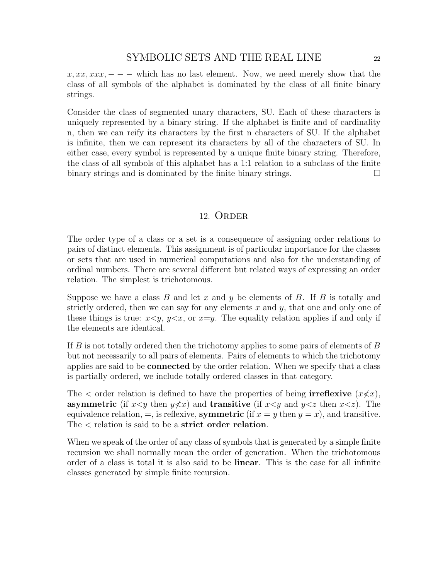$x, xx, xx, ---$  which has no last element. Now, we need merely show that the class of all symbols of the alphabet is dominated by the class of all finite binary strings.

Consider the class of segmented unary characters, SU. Each of these characters is uniquely represented by a binary string. If the alphabet is finite and of cardinality n, then we can reify its characters by the first n characters of SU. If the alphabet is infinite, then we can represent its characters by all of the characters of SU. In either case, every symbol is represented by a unique finite binary string. Therefore, the class of all symbols of this alphabet has a 1:1 relation to a subclass of the finite binary strings and is dominated by the finite binary strings.

#### 12. ORDER

The order type of a class or a set is a consequence of assigning order relations to pairs of distinct elements. This assignment is of particular importance for the classes or sets that are used in numerical computations and also for the understanding of ordinal numbers. There are several different but related ways of expressing an order relation. The simplest is trichotomous.

Suppose we have a class  $B$  and let  $x$  and  $y$  be elements of  $B$ . If  $B$  is totally and strictly ordered, then we can say for any elements  $x$  and  $y$ , that one and only one of these things is true:  $x \leq y$ ,  $y \leq x$ , or  $x=y$ . The equality relation applies if and only if the elements are identical.

If  $B$  is not totally ordered then the trichotomy applies to some pairs of elements of  $B$ but not necessarily to all pairs of elements. Pairs of elements to which the trichotomy applies are said to be connected by the order relation. When we specify that a class is partially ordered, we include totally ordered classes in that category.

The  $\lt$  order relation is defined to have the properties of being **irreflexive**  $(x \nless c x)$ , asymmetric (if  $x \leq y$  then  $y \not\leq x$ ) and transitive (if  $x \leq y$  and  $y \leq z$  then  $x \leq z$ ). The equivalence relation,  $=$ , is reflexive, symmetric (if  $x = y$  then  $y = x$ ), and transitive. The  $\epsilon$  relation is said to be a strict order relation.

When we speak of the order of any class of symbols that is generated by a simple finite recursion we shall normally mean the order of generation. When the trichotomous order of a class is total it is also said to be linear. This is the case for all infinite classes generated by simple finite recursion.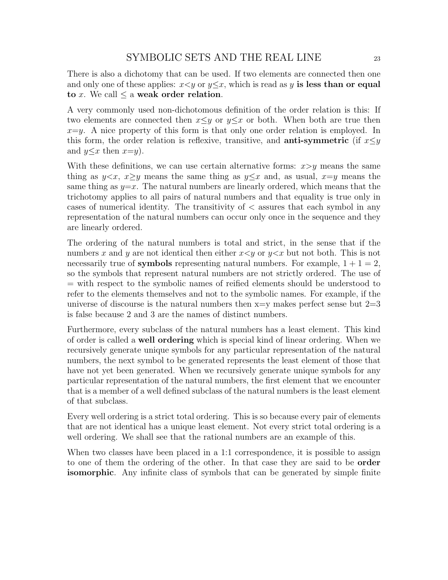There is also a dichotomy that can be used. If two elements are connected then one and only one of these applies:  $x \leq y$  or  $y \leq x$ , which is read as y is less than or equal to x. We call  $\leq$  a weak order relation.

A very commonly used non-dichotomous definition of the order relation is this: If two elements are connected then  $x \leq y$  or  $y \leq x$  or both. When both are true then  $x=y$ . A nice property of this form is that only one order relation is employed. In this form, the order relation is reflexive, transitive, and **anti-symmetric** (if  $x \leq y$ and  $y \leq x$  then  $x=y$ ).

With these definitions, we can use certain alternative forms:  $x>y$  means the same thing as  $y \leq x$ ,  $x \geq y$  means the same thing as  $y \leq x$  and, as usual,  $x=y$  means the same thing as  $y=x$ . The natural numbers are linearly ordered, which means that the trichotomy applies to all pairs of natural numbers and that equality is true only in cases of numerical identity. The transitivity of < assures that each symbol in any representation of the natural numbers can occur only once in the sequence and they are linearly ordered.

The ordering of the natural numbers is total and strict, in the sense that if the numbers x and y are not identical then either  $x \leq y$  or  $y \leq x$  but not both. This is not necessarily true of **symbols** representing natural numbers. For example,  $1 + 1 = 2$ , so the symbols that represent natural numbers are not strictly ordered. The use of = with respect to the symbolic names of reified elements should be understood to refer to the elements themselves and not to the symbolic names. For example, if the universe of discourse is the natural numbers then  $x=y$  makes perfect sense but  $2=3$ is false because 2 and 3 are the names of distinct numbers.

Furthermore, every subclass of the natural numbers has a least element. This kind of order is called a well ordering which is special kind of linear ordering. When we recursively generate unique symbols for any particular representation of the natural numbers, the next symbol to be generated represents the least element of those that have not yet been generated. When we recursively generate unique symbols for any particular representation of the natural numbers, the first element that we encounter that is a member of a well defined subclass of the natural numbers is the least element of that subclass.

Every well ordering is a strict total ordering. This is so because every pair of elements that are not identical has a unique least element. Not every strict total ordering is a well ordering. We shall see that the rational numbers are an example of this.

When two classes have been placed in a 1:1 correspondence, it is possible to assign to one of them the ordering of the other. In that case they are said to be order isomorphic. Any infinite class of symbols that can be generated by simple finite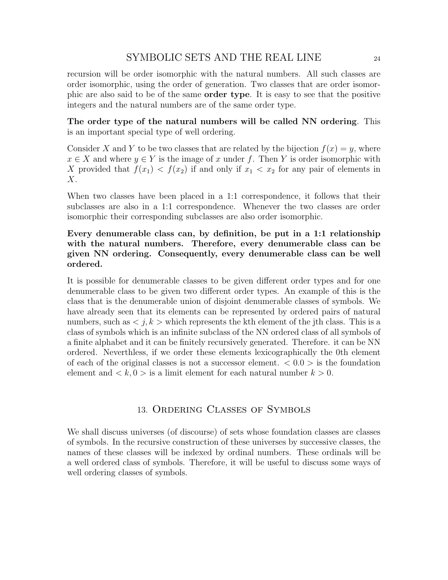recursion will be order isomorphic with the natural numbers. All such classes are order isomorphic, using the order of generation. Two classes that are order isomorphic are also said to be of the same order type. It is easy to see that the positive integers and the natural numbers are of the same order type.

The order type of the natural numbers will be called NN ordering. This is an important special type of well ordering.

Consider X and Y to be two classes that are related by the bijection  $f(x) = y$ , where  $x \in X$  and where  $y \in Y$  is the image of x under f. Then Y is order isomorphic with X provided that  $f(x_1) < f(x_2)$  if and only if  $x_1 < x_2$  for any pair of elements in  $X$ .

When two classes have been placed in a 1:1 correspondence, it follows that their subclasses are also in a 1:1 correspondence. Whenever the two classes are order isomorphic their corresponding subclasses are also order isomorphic.

## Every denumerable class can, by definition, be put in a 1:1 relationship with the natural numbers. Therefore, every denumerable class can be given NN ordering. Consequently, every denumerable class can be well ordered.

It is possible for denumerable classes to be given different order types and for one denumerable class to be given two different order types. An example of this is the class that is the denumerable union of disjoint denumerable classes of symbols. We have already seen that its elements can be represented by ordered pairs of natural numbers, such as  $\langle j, k \rangle$  which represents the kth element of the jth class. This is a class of symbols which is an infinite subclass of the NN ordered class of all symbols of a finite alphabet and it can be finitely recursively generated. Therefore. it can be NN ordered. Neverthless, if we order these elements lexicographically the 0th element of each of the original classes is not a successor element.  $\langle 0.0 \rangle$  is the foundation element and  $\langle k, 0 \rangle$  is a limit element for each natural number  $k > 0$ .

### 13. Ordering Classes of Symbols

We shall discuss universes (of discourse) of sets whose foundation classes are classes of symbols. In the recursive construction of these universes by successive classes, the names of these classes will be indexed by ordinal numbers. These ordinals will be a well ordered class of symbols. Therefore, it will be useful to discuss some ways of well ordering classes of symbols.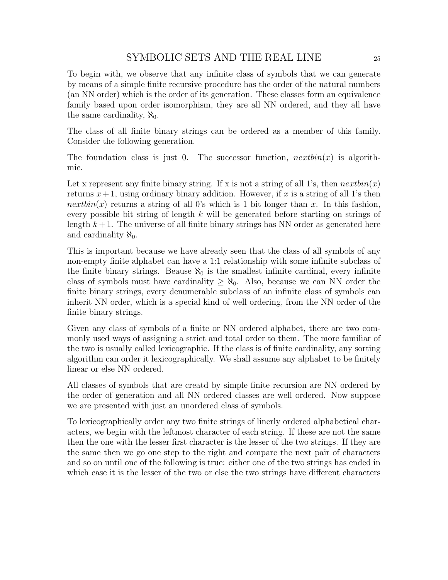To begin with, we observe that any infinite class of symbols that we can generate by means of a simple finite recursive procedure has the order of the natural numbers (an NN order) which is the order of its generation. These classes form an equivalence family based upon order isomorphism, they are all NN ordered, and they all have the same cardinality,  $\aleph_0$ .

The class of all finite binary strings can be ordered as a member of this family. Consider the following generation.

The foundation class is just 0. The successor function,  $nextbin(x)$  is algorithmic.

Let x represent any finite binary string. If x is not a string of all 1's, then  $nextbin(x)$ returns  $x+1$ , using ordinary binary addition. However, if x is a string of all 1's then *nextbin(x)* returns a string of all 0's which is 1 bit longer than x. In this fashion, every possible bit string of length  $k$  will be generated before starting on strings of length  $k+1$ . The universe of all finite binary strings has NN order as generated here and cardinality  $\aleph_0$ .

This is important because we have already seen that the class of all symbols of any non-empty finite alphabet can have a 1:1 relationship with some infinite subclass of the finite binary strings. Beause  $\aleph_0$  is the smallest infinite cardinal, every infinite class of symbols must have cardinality  $\geq \aleph_0$ . Also, because we can NN order the finite binary strings, every denumerable subclass of an infinite class of symbols can inherit NN order, which is a special kind of well ordering, from the NN order of the finite binary strings.

Given any class of symbols of a finite or NN ordered alphabet, there are two commonly used ways of assigning a strict and total order to them. The more familiar of the two is usually called lexicographic. If the class is of finite cardinality, any sorting algorithm can order it lexicographically. We shall assume any alphabet to be finitely linear or else NN ordered.

All classes of symbols that are creatd by simple finite recursion are NN ordered by the order of generation and all NN ordered classes are well ordered. Now suppose we are presented with just an unordered class of symbols.

To lexicographically order any two finite strings of linerly ordered alphabetical characters, we begin with the leftmost character of each string. If these are not the same then the one with the lesser first character is the lesser of the two strings. If they are the same then we go one step to the right and compare the next pair of characters and so on until one of the following is true: either one of the two strings has ended in which case it is the lesser of the two or else the two strings have different characters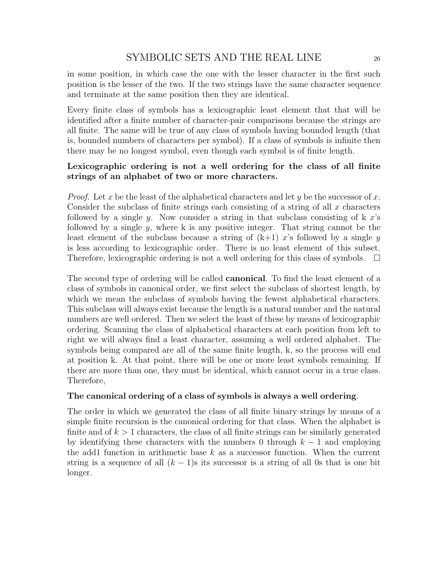in some position, in which case the one with the lesser character in the first such position is the lesser of the two. If the two strings have the same character sequence and terminate at the same position then they are identical.

Every finite class of symbols has a lexicographic least element that that will be identified after a finite number of character-pair comparisons because the strings are all finite. The same will be true of any class of symbols having bounded length (that is, bounded numbers of characters per symbol). If a class of symbols is infinite then there may be no longest symbol, even though each symbol is of finite length.

### Lexicographic ordering is not a well ordering for the class of all finite strings of an alphabet of two or more characters.

*Proof.* Let x be the least of the alphabetical characters and let y be the successor of x. Consider the subclass of finite strings each consisting of a string of all  $x$  characters followed by a single y. Now consider a string in that subclass consisting of  $k$  x's followed by a single  $y$ , where k is any positive integer. That string cannot be the least element of the subclass because a string of  $(k+1)$  x's followed by a single y is less according to lexicographic order. There is no least element of this subset. Therefore, lexicographic ordering is not a well ordering for this class of symbols.  $\Box$ 

The second type of ordering will be called **canonical**. To find the least element of a class of symbols in canonical order, we first select the subclass of shortest length, by which we mean the subclass of symbols having the fewest alphabetical characters. This subclass will always exist because the length is a natural number and the natural numbers are well ordered. Then we select the least of these by means of lexicographic ordering. Scanning the class of alphabetical characters at each position from left to right we will always find a least character, assuming a well ordered alphabet. The symbols being compared are all of the same finite length, k, so the process will end at position k. At that point, there will be one or more least symbols remaining. If there are more than one, they must be identical, which cannot occur in a true class. Therefore,

#### The canonical ordering of a class of symbols is always a well ordering.

The order in which we generated the class of all finite binary strings by means of a simple finite recursion is the canonical ordering for that class. When the alphabet is finite and of  $k > 1$  characters, the class of all finite strings can be similarly generated by identifying these characters with the numbers 0 through  $k - 1$  and employing the add1 function in arithmetic base  $k$  as a successor function. When the current string is a sequence of all  $(k - 1)$ s its successor is a string of all 0s that is one bit longer.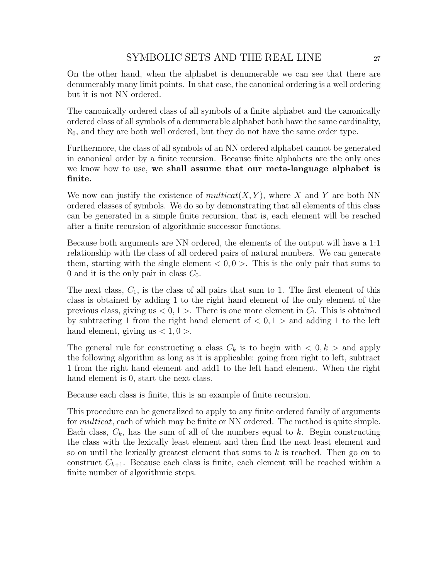On the other hand, when the alphabet is denumerable we can see that there are denumerably many limit points. In that case, the canonical ordering is a well ordering but it is not NN ordered.

The canonically ordered class of all symbols of a finite alphabet and the canonically ordered class of all symbols of a denumerable alphabet both have the same cardinality,  $\aleph_0$ , and they are both well ordered, but they do not have the same order type.

Furthermore, the class of all symbols of an NN ordered alphabet cannot be generated in canonical order by a finite recursion. Because finite alphabets are the only ones we know how to use, we shall assume that our meta-language alphabet is finite.

We now can justify the existence of  $multicat(X, Y)$ , where X and Y are both NN ordered classes of symbols. We do so by demonstrating that all elements of this class can be generated in a simple finite recursion, that is, each element will be reached after a finite recursion of algorithmic successor functions.

Because both arguments are NN ordered, the elements of the output will have a 1:1 relationship with the class of all ordered pairs of natural numbers. We can generate them, starting with the single element  $< 0, 0 > 0$ . This is the only pair that sums to 0 and it is the only pair in class  $C_0$ .

The next class,  $C_1$ , is the class of all pairs that sum to 1. The first element of this class is obtained by adding 1 to the right hand element of the only element of the previous class, giving us  $< 0, 1 >$ . There is one more element in  $C_1$ . This is obtained by subtracting 1 from the right hand element of  $< 0, 1 >$  and adding 1 to the left hand element, giving us  $< 1, 0 >$ .

The general rule for constructing a class  $C_k$  is to begin with  $\langle 0, k \rangle$  and apply the following algorithm as long as it is applicable: going from right to left, subtract 1 from the right hand element and add1 to the left hand element. When the right hand element is 0, start the next class.

Because each class is finite, this is an example of finite recursion.

This procedure can be generalized to apply to any finite ordered family of arguments for *multicat*, each of which may be finite or NN ordered. The method is quite simple. Each class,  $C_k$ , has the sum of all of the numbers equal to k. Begin constructing the class with the lexically least element and then find the next least element and so on until the lexically greatest element that sums to  $k$  is reached. Then go on to construct  $C_{k+1}$ . Because each class is finite, each element will be reached within a finite number of algorithmic steps.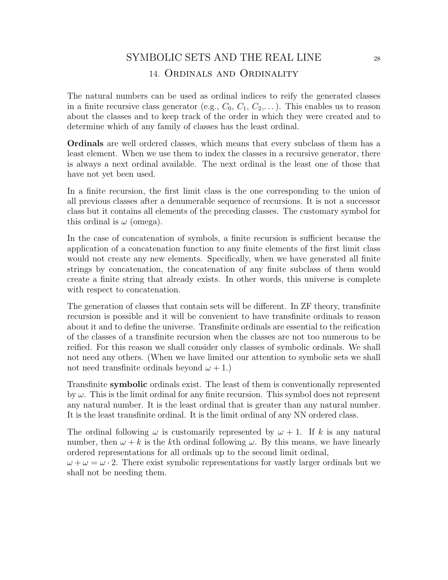# SYMBOLIC SETS AND THE REAL LINE 28 14. Ordinals and Ordinality

The natural numbers can be used as ordinal indices to reify the generated classes in a finite recursive class generator (e.g.,  $C_0$ ,  $C_1$ ,  $C_2$ ,...). This enables us to reason about the classes and to keep track of the order in which they were created and to determine which of any family of classes has the least ordinal.

Ordinals are well ordered classes, which means that every subclass of them has a least element. When we use them to index the classes in a recursive generator, there is always a next ordinal available. The next ordinal is the least one of those that have not yet been used.

In a finite recursion, the first limit class is the one corresponding to the union of all previous classes after a denumerable sequence of recursions. It is not a successor class but it contains all elements of the preceding classes. The customary symbol for this ordinal is  $\omega$  (omega).

In the case of concatenation of symbols, a finite recursion is sufficient because the application of a concatenation function to any finite elements of the first limit class would not create any new elements. Specifically, when we have generated all finite strings by concatenation, the concatenation of any finite subclass of them would create a finite string that already exists. In other words, this universe is complete with respect to concatenation.

The generation of classes that contain sets will be different. In ZF theory, transfinite recursion is possible and it will be convenient to have transfinite ordinals to reason about it and to define the universe. Transfinite ordinals are essential to the reification of the classes of a transfinite recursion when the classes are not too numerous to be reified. For this reason we shall consider only classes of symbolic ordinals. We shall not need any others. (When we have limited our attention to symbolic sets we shall not need transfinite ordinals beyond  $\omega + 1$ .

Transfinite symbolic ordinals exist. The least of them is conventionally represented by  $\omega$ . This is the limit ordinal for any finite recursion. This symbol does not represent any natural number. It is the least ordinal that is greater than any natural number. It is the least transfinite ordinal. It is the limit ordinal of any NN ordered class.

The ordinal following  $\omega$  is customarily represented by  $\omega + 1$ . If k is any natural number, then  $\omega + k$  is the kth ordinal following  $\omega$ . By this means, we have linearly ordered representations for all ordinals up to the second limit ordinal,

 $\omega + \omega = \omega \cdot 2$ . There exist symbolic representations for vastly larger ordinals but we shall not be needing them.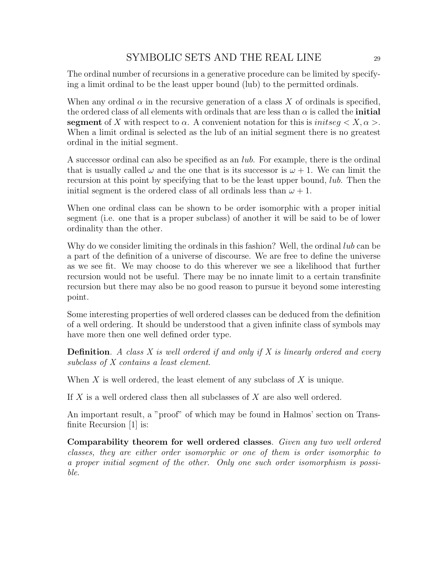The ordinal number of recursions in a generative procedure can be limited by specifying a limit ordinal to be the least upper bound (lub) to the permitted ordinals.

When any ordinal  $\alpha$  in the recursive generation of a class X of ordinals is specified, the ordered class of all elements with ordinals that are less than  $\alpha$  is called the **initial** segment of X with respect to  $\alpha$ . A convenient notation for this is *initseq*  $\langle X, \alpha \rangle$ . When a limit ordinal is selected as the lub of an initial segment there is no greatest ordinal in the initial segment.

A successor ordinal can also be specified as an lub. For example, there is the ordinal that is usually called  $\omega$  and the one that is its successor is  $\omega + 1$ . We can limit the recursion at this point by specifying that to be the least upper bound, lub. Then the initial segment is the ordered class of all ordinals less than  $\omega + 1$ .

When one ordinal class can be shown to be order isomorphic with a proper initial segment (i.e. one that is a proper subclass) of another it will be said to be of lower ordinality than the other.

Why do we consider limiting the ordinals in this fashion? Well, the ordinal *lub* can be a part of the definition of a universe of discourse. We are free to define the universe as we see fit. We may choose to do this wherever we see a likelihood that further recursion would not be useful. There may be no innate limit to a certain transfinite recursion but there may also be no good reason to pursue it beyond some interesting point.

Some interesting properties of well ordered classes can be deduced from the definition of a well ordering. It should be understood that a given infinite class of symbols may have more then one well defined order type.

**Definition.** A class X is well ordered if and only if X is linearly ordered and every subclass of X contains a least element.

When  $X$  is well ordered, the least element of any subclass of  $X$  is unique.

If X is a well ordered class then all subclasses of X are also well ordered.

An important result, a "proof" of which may be found in Halmos' section on Transfinite Recursion [1] is:

Comparability theorem for well ordered classes. Given any two well ordered classes, they are either order isomorphic or one of them is order isomorphic to a proper initial segment of the other. Only one such order isomorphism is possible.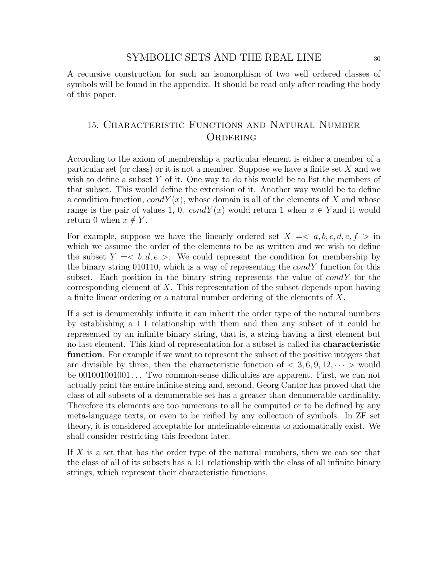A recursive construction for such an isomorphism of two well ordered classes of symbols will be found in the appendix. It should be read only after reading the body of this paper.

## 15. Characteristic Functions and Natural Number **ORDERING**

According to the axiom of membership a particular element is either a member of a particular set (or class) or it is not a member. Suppose we have a finite set  $X$  and we wish to define a subset Y of it. One way to do this would be to list the members of that subset. This would define the extension of it. Another way would be to define a condition function,  $condY(x)$ , whose domain is all of the elements of X and whose range is the pair of values 1, 0.  $condY(x)$  would return 1 when  $x \in Y$  and it would return 0 when  $x \notin Y$ .

For example, suppose we have the linearly ordered set  $X = \langle a, b, c, d, e, f \rangle$  in which we assume the order of the elements to be as written and we wish to define the subset  $Y = \langle b, d, e \rangle$ . We could represent the condition for membership by the binary string 010110, which is a way of representing the  $condY$  function for this subset. Each position in the binary string represents the value of  $condY$  for the corresponding element of X. This representation of the subset depends upon having a finite linear ordering or a natural number ordering of the elements of X.

If a set is denumerably infinite it can inherit the order type of the natural numbers by establishing a 1:1 relationship with them and then any subset of it could be represented by an infinite binary string, that is, a string having a first element but no last element. This kind of representation for a subset is called its characteristic function. For example if we want to represent the subset of the positive integers that are divisible by three, then the characteristic function of  $\lt 3, 6, 9, 12, \cdots >$  would be 001001001001 . . . Two common-sense difficulties are apparent. First, we can not actually print the entire infinite string and, second, Georg Cantor has proved that the class of all subsets of a denumerable set has a greater than denumerable cardinality. Therefore its elements are too numerous to all be computed or to be defined by any meta-language texts, or even to be reified by any collection of symbols. In ZF set theory, it is considered acceptable for undefinable elments to axiomatically exist. We shall consider restricting this freedom later.

If X is a set that has the order type of the natural numbers, then we can see that the class of all of its subsets has a 1:1 relationship with the class of all infinite binary strings, which represent their characteristic functions.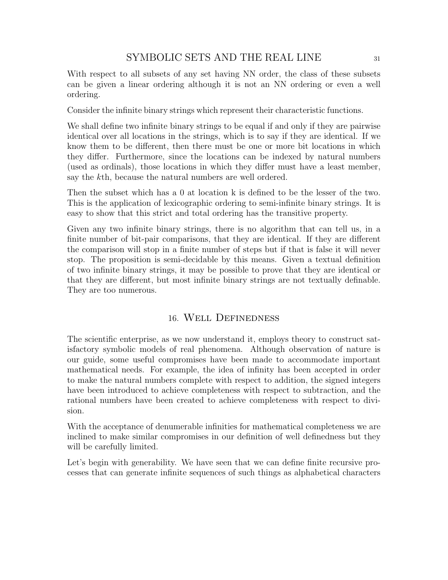With respect to all subsets of any set having NN order, the class of these subsets can be given a linear ordering although it is not an NN ordering or even a well ordering.

Consider the infinite binary strings which represent their characteristic functions.

We shall define two infinite binary strings to be equal if and only if they are pairwise identical over all locations in the strings, which is to say if they are identical. If we know them to be different, then there must be one or more bit locations in which they differ. Furthermore, since the locations can be indexed by natural numbers (used as ordinals), those locations in which they differ must have a least member, say the kth, because the natural numbers are well ordered.

Then the subset which has a 0 at location k is defined to be the lesser of the two. This is the application of lexicographic ordering to semi-infinite binary strings. It is easy to show that this strict and total ordering has the transitive property.

Given any two infinite binary strings, there is no algorithm that can tell us, in a finite number of bit-pair comparisons, that they are identical. If they are different the comparison will stop in a finite number of steps but if that is false it will never stop. The proposition is semi-decidable by this means. Given a textual definition of two infinite binary strings, it may be possible to prove that they are identical or that they are different, but most infinite binary strings are not textually definable. They are too numerous.

## 16. Well Definedness

The scientific enterprise, as we now understand it, employs theory to construct satisfactory symbolic models of real phenomena. Although observation of nature is our guide, some useful compromises have been made to accommodate important mathematical needs. For example, the idea of infinity has been accepted in order to make the natural numbers complete with respect to addition, the signed integers have been introduced to achieve completeness with respect to subtraction, and the rational numbers have been created to achieve completeness with respect to division.

With the acceptance of denumerable infinities for mathematical completeness we are inclined to make similar compromises in our definition of well definedness but they will be carefully limited.

Let's begin with generability. We have seen that we can define finite recursive processes that can generate infinite sequences of such things as alphabetical characters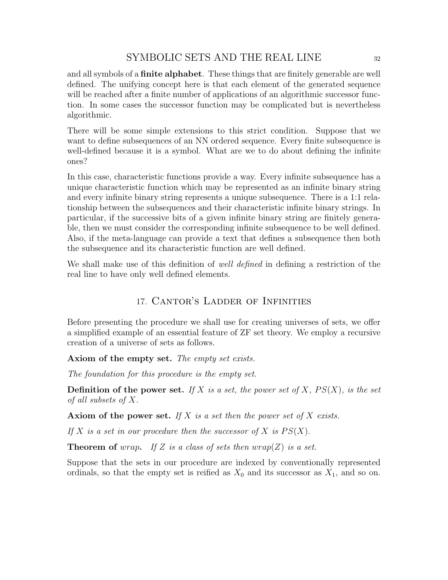and all symbols of a finite alphabet. These things that are finitely generable are well defined. The unifying concept here is that each element of the generated sequence will be reached after a finite number of applications of an algorithmic successor function. In some cases the successor function may be complicated but is nevertheless algorithmic.

There will be some simple extensions to this strict condition. Suppose that we want to define subsequences of an NN ordered sequence. Every finite subsequence is well-defined because it is a symbol. What are we to do about defining the infinite ones?

In this case, characteristic functions provide a way. Every infinite subsequence has a unique characteristic function which may be represented as an infinite binary string and every infinite binary string represents a unique subsequence. There is a 1:1 relationship between the subsequences and their characteristic infinite binary strings. In particular, if the successive bits of a given infinite binary string are finitely generable, then we must consider the corresponding infinite subsequence to be well defined. Also, if the meta-language can provide a text that defines a subsequence then both the subsequence and its characteristic function are well defined.

We shall make use of this definition of well defined in defining a restriction of the real line to have only well defined elements.

## 17. Cantor's Ladder of Infinities

Before presenting the procedure we shall use for creating universes of sets, we offer a simplified example of an essential feature of ZF set theory. We employ a recursive creation of a universe of sets as follows.

Axiom of the empty set. The empty set exists.

The foundation for this procedure is the empty set.

**Definition of the power set.** If X is a set, the power set of X,  $PS(X)$ , is the set of all subsets of X.

Axiom of the power set. If X is a set then the power set of X exists.

If X is a set in our procedure then the successor of X is  $PS(X)$ .

**Theorem of** wrap. If Z is a class of sets then  $w \cdot \text{rap}(Z)$  is a set.

Suppose that the sets in our procedure are indexed by conventionally represented ordinals, so that the empty set is reified as  $X_0$  and its successor as  $X_1$ , and so on.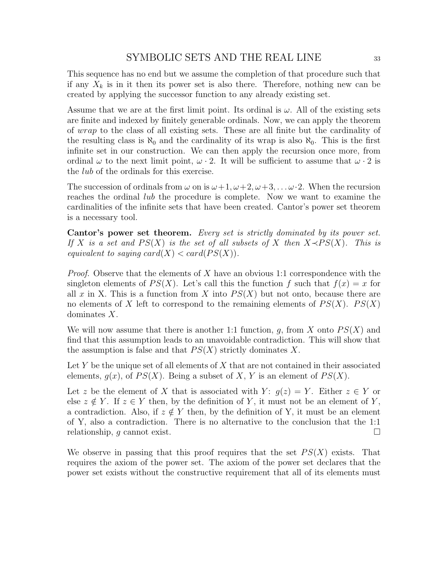This sequence has no end but we assume the completion of that procedure such that if any  $X_k$  is in it then its power set is also there. Therefore, nothing new can be created by applying the successor function to any already existing set.

Assume that we are at the first limit point. Its ordinal is  $\omega$ . All of the existing sets are finite and indexed by finitely generable ordinals. Now, we can apply the theorem of wrap to the class of all existing sets. These are all finite but the cardinality of the resulting class is  $\aleph_0$  and the cardinality of its wrap is also  $\aleph_0$ . This is the first infinite set in our construction. We can then apply the recursion once more, from ordinal  $\omega$  to the next limit point,  $\omega \cdot 2$ . It will be sufficient to assume that  $\omega \cdot 2$  is the *lub* of the ordinals for this exercise.

The succession of ordinals from  $\omega$  on is  $\omega+1, \omega+2, \omega+3, \ldots \omega \cdot 2$ . When the recursion reaches the ordinal *lub* the procedure is complete. Now we want to examine the cardinalities of the infinite sets that have been created. Cantor's power set theorem is a necessary tool.

Cantor's power set theorem. Every set is strictly dominated by its power set. If X is a set and  $PS(X)$  is the set of all subsets of X then  $X \triangleleft PS(X)$ . This is equivalent to saying  $card(X) < card(PS(X))$ .

*Proof.* Observe that the elements of X have an obvious 1:1 correspondence with the singleton elements of  $PS(X)$ . Let's call this the function f such that  $f(x) = x$  for all x in X. This is a function from X into  $PS(X)$  but not onto, because there are no elements of X left to correspond to the remaining elements of  $PS(X)$ .  $PS(X)$ dominates X.

We will now assume that there is another 1:1 function, g, from X onto  $PS(X)$  and find that this assumption leads to an unavoidable contradiction. This will show that the assumption is false and that  $PS(X)$  strictly dominates X.

Let Y be the unique set of all elements of X that are not contained in their associated elements,  $q(x)$ , of  $PS(X)$ . Being a subset of X, Y is an element of  $PS(X)$ .

Let z be the element of X that is associated with Y:  $q(z) = Y$ . Either  $z \in Y$  or else  $z \notin Y$ . If  $z \in Y$  then, by the definition of Y, it must not be an element of Y, a contradiction. Also, if  $z \notin Y$  then, by the definition of Y, it must be an element of Y, also a contradiction. There is no alternative to the conclusion that the 1:1 relationship, g cannot exist.

We observe in passing that this proof requires that the set  $PS(X)$  exists. That requires the axiom of the power set. The axiom of the power set declares that the power set exists without the constructive requirement that all of its elements must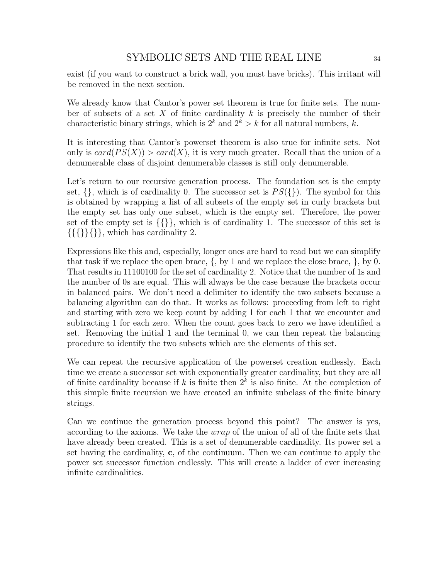exist (if you want to construct a brick wall, you must have bricks). This irritant will be removed in the next section.

We already know that Cantor's power set theorem is true for finite sets. The number of subsets of a set X of finite cardinality  $k$  is precisely the number of their characteristic binary strings, which is  $2^k$  and  $2^k > k$  for all natural numbers, k.

It is interesting that Cantor's powerset theorem is also true for infinite sets. Not only is  $card(PS(X)) > card(X)$ , it is very much greater. Recall that the union of a denumerable class of disjoint denumerable classes is still only denumerable.

Let's return to our recursive generation process. The foundation set is the empty set,  $\{\}$ , which is of cardinality 0. The successor set is  $PS(\})$ . The symbol for this is obtained by wrapping a list of all subsets of the empty set in curly brackets but the empty set has only one subset, which is the empty set. Therefore, the power set of the empty set is  $\{\{\}\}\$ , which is of cardinality 1. The successor of this set is  $\{\{\{\}\}\}\$ , which has cardinality 2.

Expressions like this and, especially, longer ones are hard to read but we can simplify that task if we replace the open brace,  $\{$ , by 1 and we replace the close brace,  $\}$ , by 0. That results in 11100100 for the set of cardinality 2. Notice that the number of 1s and the number of 0s are equal. This will always be the case because the brackets occur in balanced pairs. We don't need a delimiter to identify the two subsets because a balancing algorithm can do that. It works as follows: proceeding from left to right and starting with zero we keep count by adding 1 for each 1 that we encounter and subtracting 1 for each zero. When the count goes back to zero we have identified a set. Removing the initial 1 and the terminal 0, we can then repeat the balancing procedure to identify the two subsets which are the elements of this set.

We can repeat the recursive application of the powerset creation endlessly. Each time we create a successor set with exponentially greater cardinality, but they are all of finite cardinality because if k is finite then  $2^k$  is also finite. At the completion of this simple finite recursion we have created an infinite subclass of the finite binary strings.

Can we continue the generation process beyond this point? The answer is yes, according to the axioms. We take the wrap of the union of all of the finite sets that have already been created. This is a set of denumerable cardinality. Its power set a set having the cardinality, c, of the continuum. Then we can continue to apply the power set successor function endlessly. This will create a ladder of ever increasing infinite cardinalities.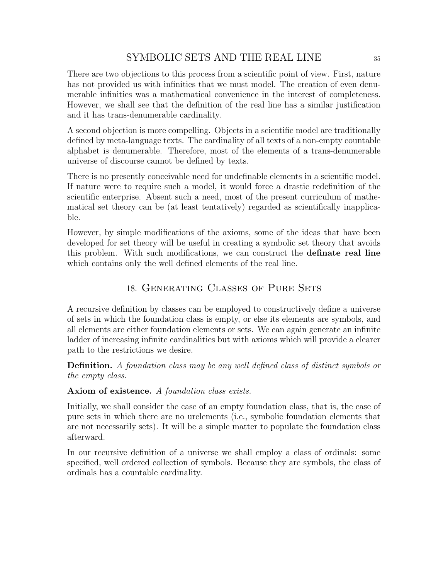There are two objections to this process from a scientific point of view. First, nature has not provided us with infinities that we must model. The creation of even denumerable infinities was a mathematical convenience in the interest of completeness. However, we shall see that the definition of the real line has a similar justification and it has trans-denumerable cardinality.

A second objection is more compelling. Objects in a scientific model are traditionally defined by meta-language texts. The cardinality of all texts of a non-empty countable alphabet is denumerable. Therefore, most of the elements of a trans-denumerable universe of discourse cannot be defined by texts.

There is no presently conceivable need for undefinable elements in a scientific model. If nature were to require such a model, it would force a drastic redefinition of the scientific enterprise. Absent such a need, most of the present curriculum of mathematical set theory can be (at least tentatively) regarded as scientifically inapplicable.

However, by simple modifications of the axioms, some of the ideas that have been developed for set theory will be useful in creating a symbolic set theory that avoids this problem. With such modifications, we can construct the definate real line which contains only the well defined elements of the real line.

## 18. Generating Classes of Pure Sets

A recursive definition by classes can be employed to constructively define a universe of sets in which the foundation class is empty, or else its elements are symbols, and all elements are either foundation elements or sets. We can again generate an infinite ladder of increasing infinite cardinalities but with axioms which will provide a clearer path to the restrictions we desire.

Definition. A foundation class may be any well defined class of distinct symbols or the empty class.

### Axiom of existence. A foundation class exists.

Initially, we shall consider the case of an empty foundation class, that is, the case of pure sets in which there are no urelements (i.e., symbolic foundation elements that are not necessarily sets). It will be a simple matter to populate the foundation class afterward.

In our recursive definition of a universe we shall employ a class of ordinals: some specified, well ordered collection of symbols. Because they are symbols, the class of ordinals has a countable cardinality.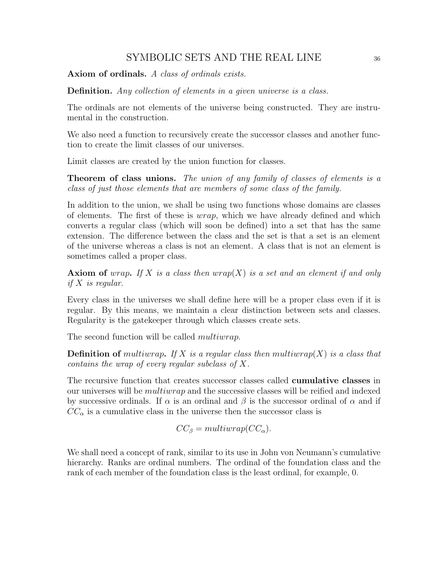Axiom of ordinals. A class of ordinals exists.

Definition. Any collection of elements in a given universe is a class.

The ordinals are not elements of the universe being constructed. They are instrumental in the construction.

We also need a function to recursively create the successor classes and another function to create the limit classes of our universes.

Limit classes are created by the union function for classes.

**Theorem of class unions.** The union of any family of classes of elements is a class of just those elements that are members of some class of the family.

In addition to the union, we shall be using two functions whose domains are classes of elements. The first of these is wrap, which we have already defined and which converts a regular class (which will soon be defined) into a set that has the same extension. The difference between the class and the set is that a set is an element of the universe whereas a class is not an element. A class that is not an element is sometimes called a proper class.

**Axiom of** wrap. If X is a class then wrap(X) is a set and an element if and only if  $X$  is regular.

Every class in the universes we shall define here will be a proper class even if it is regular. By this means, we maintain a clear distinction between sets and classes. Regularity is the gatekeeper through which classes create sets.

The second function will be called *multiwrap*.

**Definition of** multiwrap. If X is a regular class then multiwrap $(X)$  is a class that contains the wrap of every regular subclass of X.

The recursive function that creates successor classes called **cumulative classes** in our universes will be multiwrap and the successive classes will be reified and indexed by successive ordinals. If  $\alpha$  is an ordinal and  $\beta$  is the successor ordinal of  $\alpha$  and if  $CC_{\alpha}$  is a cumulative class in the universe then the successor class is

$$
CC_{\beta} = multiwrap(CC_{\alpha}).
$$

We shall need a concept of rank, similar to its use in John von Neumann's cumulative hierarchy. Ranks are ordinal numbers. The ordinal of the foundation class and the rank of each member of the foundation class is the least ordinal, for example, 0.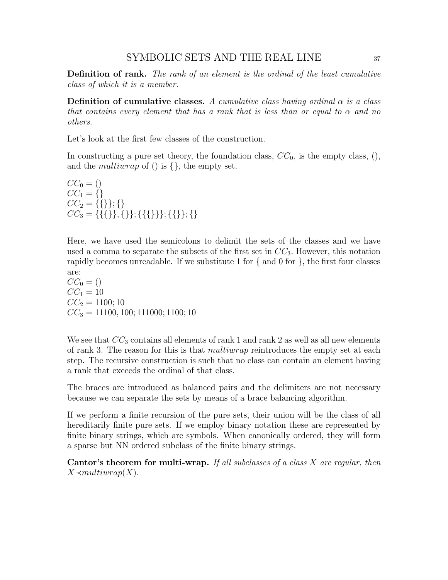Definition of rank. The rank of an element is the ordinal of the least cumulative class of which it is a member.

**Definition of cumulative classes.** A cumulative class having ordinal  $\alpha$  is a class that contains every element that has a rank that is less than or equal to  $\alpha$  and no others.

Let's look at the first few classes of the construction.

In constructing a pure set theory, the foundation class,  $CC_0$ , is the empty class,  $(),$ and the *multiwrap* of () is  $\{\}$ , the empty set.

 $CC_0 = ()$  $CC_1 = \{\}$  $CC_2 = \{ \{\} \}; \{\}$  $CC_3 = \{ \{ \{ \} \}, \{ \} \}; \{ \{ \} \}; \{ \} \}$ 

Here, we have used the semicolons to delimit the sets of the classes and we have used a comma to separate the subsets of the first set in  $CC_3$ . However, this notation rapidly becomes unreadable. If we substitute 1 for  $\{$  and 0 for  $\}$ , the first four classes are:

 $CC_0 = ()$  $CC_1 = 10$  $CC_2 = 1100; 10$  $CC_3 = 11100, 100; 111000; 1100; 10$ 

We see that  $CC_3$  contains all elements of rank 1 and rank 2 as well as all new elements of rank 3. The reason for this is that *multiwrap* reintroduces the empty set at each step. The recursive construction is such that no class can contain an element having a rank that exceeds the ordinal of that class.

The braces are introduced as balanced pairs and the delimiters are not necessary because we can separate the sets by means of a brace balancing algorithm.

If we perform a finite recursion of the pure sets, their union will be the class of all hereditarily finite pure sets. If we employ binary notation these are represented by finite binary strings, which are symbols. When canonically ordered, they will form a sparse but NN ordered subclass of the finite binary strings.

Cantor's theorem for multi-wrap. If all subclasses of a class X are regular, then  $X \prec multiwrap(X)$ .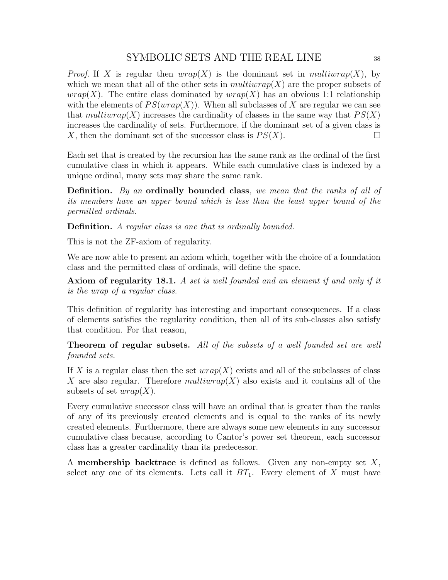*Proof.* If X is regular then  $wrap(X)$  is the dominant set in multiwrap(X), by which we mean that all of the other sets in  $multiwrap(X)$  are the proper subsets of *wrap*(X). The entire class dominated by  $wrap(X)$  has an obvious 1:1 relationship with the elements of  $PS(wrap(X))$ . When all subclasses of X are regular we can see that multiwrap(X) increases the cardinality of classes in the same way that  $PS(X)$ increases the cardinality of sets. Furthermore, if the dominant set of a given class is X, then the dominant set of the successor class is  $PS(X)$ .

Each set that is created by the recursion has the same rank as the ordinal of the first cumulative class in which it appears. While each cumulative class is indexed by a unique ordinal, many sets may share the same rank.

Definition. By an ordinally bounded class, we mean that the ranks of all of its members have an upper bound which is less than the least upper bound of the permitted ordinals.

Definition. A regular class is one that is ordinally bounded.

This is not the ZF-axiom of regularity.

We are now able to present an axiom which, together with the choice of a foundation class and the permitted class of ordinals, will define the space.

Axiom of regularity 18.1. A set is well founded and an element if and only if it is the wrap of a regular class.

This definition of regularity has interesting and important consequences. If a class of elements satisfies the regularity condition, then all of its sub-classes also satisfy that condition. For that reason,

Theorem of regular subsets. All of the subsets of a well founded set are well founded sets.

If X is a regular class then the set  $wrap(X)$  exists and all of the subclasses of class X are also regular. Therefore  $multiwrap(X)$  also exists and it contains all of the subsets of set  $wrap(X)$ .

Every cumulative successor class will have an ordinal that is greater than the ranks of any of its previously created elements and is equal to the ranks of its newly created elements. Furthermore, there are always some new elements in any successor cumulative class because, according to Cantor's power set theorem, each successor class has a greater cardinality than its predecessor.

A **membership backtrace** is defined as follows. Given any non-empty set  $X$ , select any one of its elements. Lets call it  $BT_1$ . Every element of X must have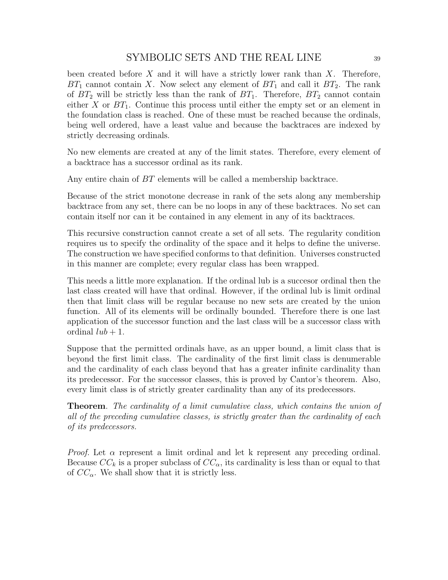been created before  $X$  and it will have a strictly lower rank than  $X$ . Therefore,  $BT_1$  cannot contain X. Now select any element of  $BT_1$  and call it  $BT_2$ . The rank of  $BT_2$  will be strictly less than the rank of  $BT_1$ . Therefore,  $BT_2$  cannot contain either X or  $BT_1$ . Continue this process until either the empty set or an element in the foundation class is reached. One of these must be reached because the ordinals, being well ordered, have a least value and because the backtraces are indexed by strictly decreasing ordinals.

No new elements are created at any of the limit states. Therefore, every element of a backtrace has a successor ordinal as its rank.

Any entire chain of BT elements will be called a membership backtrace.

Because of the strict monotone decrease in rank of the sets along any membership backtrace from any set, there can be no loops in any of these backtraces. No set can contain itself nor can it be contained in any element in any of its backtraces.

This recursive construction cannot create a set of all sets. The regularity condition requires us to specify the ordinality of the space and it helps to define the universe. The construction we have specified conforms to that definition. Universes constructed in this manner are complete; every regular class has been wrapped.

This needs a little more explanation. If the ordinal lub is a succesor ordinal then the last class created will have that ordinal. However, if the ordinal lub is limit ordinal then that limit class will be regular because no new sets are created by the union function. All of its elements will be ordinally bounded. Therefore there is one last application of the successor function and the last class will be a successor class with ordinal  $lub + 1$ .

Suppose that the permitted ordinals have, as an upper bound, a limit class that is beyond the first limit class. The cardinality of the first limit class is denumerable and the cardinality of each class beyond that has a greater infinite cardinality than its predecessor. For the successor classes, this is proved by Cantor's theorem. Also, every limit class is of strictly greater cardinality than any of its predecessors.

Theorem. The cardinality of a limit cumulative class, which contains the union of all of the preceding cumulative classes, is strictly greater than the cardinality of each of its predecessors.

*Proof.* Let  $\alpha$  represent a limit ordinal and let k represent any preceding ordinal. Because  $CC_k$  is a proper subclass of  $CC_{\alpha}$ , its cardinality is less than or equal to that of  $CC_{\alpha}$ . We shall show that it is strictly less.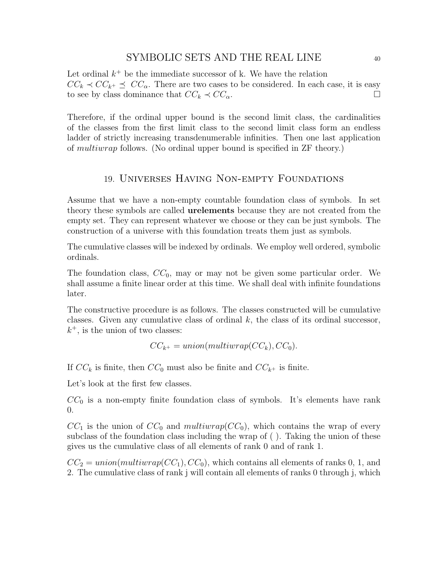Let ordinal  $k^+$  be the immediate successor of k. We have the relation  $CC_k \prec CC_{k^+} \preceq CC_{\alpha}$ . There are two cases to be considered. In each case, it is easy to see by class dominance that  $CC_k \prec CC_{\alpha}$ .

Therefore, if the ordinal upper bound is the second limit class, the cardinalities of the classes from the first limit class to the second limit class form an endless ladder of strictly increasing transdenumerable infinities. Then one last application of multiwrap follows. (No ordinal upper bound is specified in ZF theory.)

## 19. Universes Having Non-empty Foundations

Assume that we have a non-empty countable foundation class of symbols. In set theory these symbols are called urelements because they are not created from the empty set. They can represent whatever we choose or they can be just symbols. The construction of a universe with this foundation treats them just as symbols.

The cumulative classes will be indexed by ordinals. We employ well ordered, symbolic ordinals.

The foundation class,  $CC_0$ , may or may not be given some particular order. We shall assume a finite linear order at this time. We shall deal with infinite foundations later.

The constructive procedure is as follows. The classes constructed will be cumulative classes. Given any cumulative class of ordinal  $k$ , the class of its ordinal successor,  $k^+$ , is the union of two classes:

$$
CC_{k^+} = union(multiwrap(CC_k), CC_0).
$$

If  $CC_k$  is finite, then  $CC_0$  must also be finite and  $CC_{k+}$  is finite.

Let's look at the first few classes.

 $CC_0$  is a non-empty finite foundation class of symbols. It's elements have rank  $\Omega$ .

 $CC_1$  is the union of  $CC_0$  and multiwrap( $CC_0$ ), which contains the wrap of every subclass of the foundation class including the wrap of ( ). Taking the union of these gives us the cumulative class of all elements of rank 0 and of rank 1.

 $CC_2 = union(multiwrap(CC_1), CC_0)$ , which contains all elements of ranks 0, 1, and 2. The cumulative class of rank j will contain all elements of ranks 0 through j, which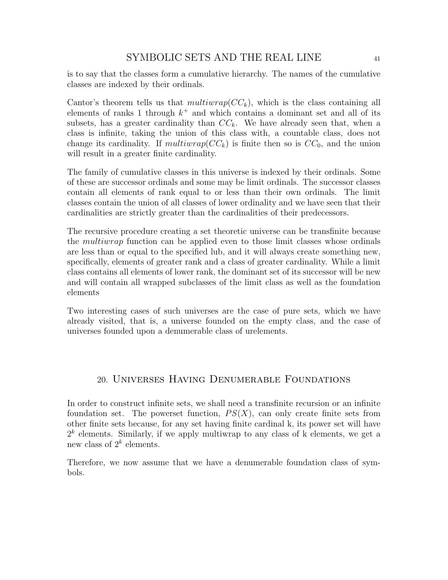is to say that the classes form a cumulative hierarchy. The names of the cumulative classes are indexed by their ordinals.

Cantor's theorem tells us that  $multivarp(CC_k)$ , which is the class containing all elements of ranks 1 through  $k^+$  and which contains a dominant set and all of its subsets, has a greater cardinality than  $CC_k$ . We have already seen that, when a class is infinite, taking the union of this class with, a countable class, does not change its cardinality. If multiwrap( $CC_k$ ) is finite then so is  $CC_0$ , and the union will result in a greater finite cardinality.

The family of cumulative classes in this universe is indexed by their ordinals. Some of these are successor ordinals and some may be limit ordinals. The successor classes contain all elements of rank equal to or less than their own ordinals. The limit classes contain the union of all classes of lower ordinality and we have seen that their cardinalities are strictly greater than the cardinalities of their predecessors.

The recursive procedure creating a set theoretic universe can be transfinite because the multiwrap function can be applied even to those limit classes whose ordinals are less than or equal to the specified lub, and it will always create something new, specifically, elements of greater rank and a class of greater cardinality. While a limit class contains all elements of lower rank, the dominant set of its successor will be new and will contain all wrapped subclasses of the limit class as well as the foundation elements

Two interesting cases of such universes are the case of pure sets, which we have already visited, that is, a universe founded on the empty class, and the case of universes founded upon a denumerable class of urelements.

## 20. Universes Having Denumerable Foundations

In order to construct infinite sets, we shall need a transfinite recursion or an infinite foundation set. The powerset function,  $PS(X)$ , can only create finite sets from other finite sets because, for any set having finite cardinal k, its power set will have  $2<sup>k</sup>$  elements. Similarly, if we apply multiwrap to any class of k elements, we get a new class of  $2^k$  elements.

Therefore, we now assume that we have a denumerable foundation class of symbols.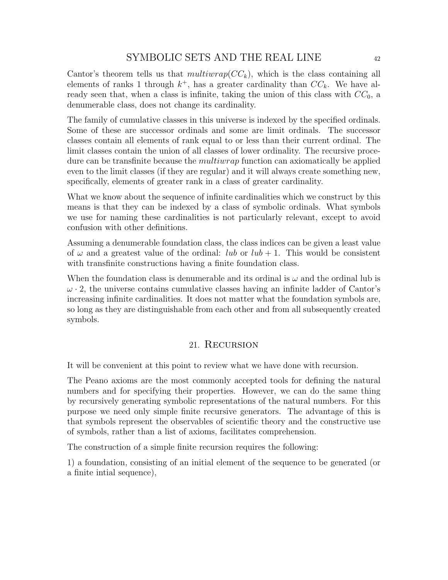Cantor's theorem tells us that  $multiwrap(CC_k)$ , which is the class containing all elements of ranks 1 through  $k^+$ , has a greater cardinality than  $CC_k$ . We have already seen that, when a class is infinite, taking the union of this class with  $CC_0$ , a denumerable class, does not change its cardinality.

The family of cumulative classes in this universe is indexed by the specified ordinals. Some of these are successor ordinals and some are limit ordinals. The successor classes contain all elements of rank equal to or less than their current ordinal. The limit classes contain the union of all classes of lower ordinality. The recursive procedure can be transfinite because the *multiwrap* function can axiomatically be applied even to the limit classes (if they are regular) and it will always create something new, specifically, elements of greater rank in a class of greater cardinality.

What we know about the sequence of infinite cardinalities which we construct by this means is that they can be indexed by a class of symbolic ordinals. What symbols we use for naming these cardinalities is not particularly relevant, except to avoid confusion with other definitions.

Assuming a denumerable foundation class, the class indices can be given a least value of  $\omega$  and a greatest value of the ordinal: *lub* or *lub* + 1. This would be consistent with transfinite constructions having a finite foundation class.

When the foundation class is denumerable and its ordinal is  $\omega$  and the ordinal lub is  $\omega$  · 2, the universe contains cumulative classes having an infinite ladder of Cantor's increasing infinite cardinalities. It does not matter what the foundation symbols are, so long as they are distinguishable from each other and from all subsequently created symbols.

## 21. Recursion

It will be convenient at this point to review what we have done with recursion.

The Peano axioms are the most commonly accepted tools for defining the natural numbers and for specifying their properties. However, we can do the same thing by recursively generating symbolic representations of the natural numbers. For this purpose we need only simple finite recursive generators. The advantage of this is that symbols represent the observables of scientific theory and the constructive use of symbols, rather than a list of axioms, facilitates comprehension.

The construction of a simple finite recursion requires the following:

1) a foundation, consisting of an initial element of the sequence to be generated (or a finite intial sequence),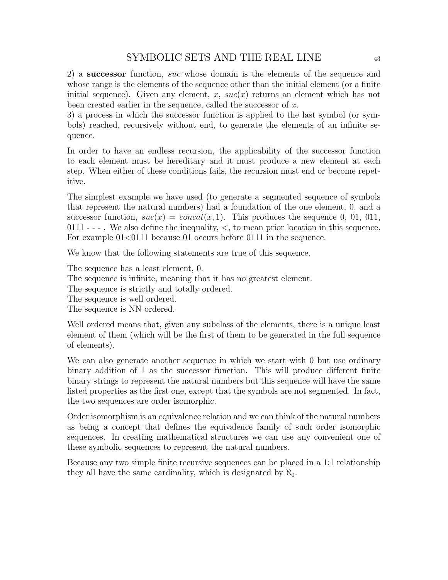2) a successor function, suc whose domain is the elements of the sequence and whose range is the elements of the sequence other than the initial element (or a finite initial sequence). Given any element, x,  $suc(x)$  returns an element which has not been created earlier in the sequence, called the successor of  $x$ .

3) a process in which the successor function is applied to the last symbol (or symbols) reached, recursively without end, to generate the elements of an infinite sequence.

In order to have an endless recursion, the applicability of the successor function to each element must be hereditary and it must produce a new element at each step. When either of these conditions fails, the recursion must end or become repetitive.

The simplest example we have used (to generate a segmented sequence of symbols that represent the natural numbers) had a foundation of the one element, 0, and a successor function,  $suc(x) = concat(x, 1)$ . This produces the sequence 0, 01, 011,  $0111$  - - - . We also define the inequality,  $\lt$ , to mean prior location in this sequence. For example  $01<0111$  because 01 occurs before 0111 in the sequence.

We know that the following statements are true of this sequence.

The sequence has a least element, 0.

The sequence is infinite, meaning that it has no greatest element.

The sequence is strictly and totally ordered.

The sequence is well ordered.

The sequence is NN ordered.

Well ordered means that, given any subclass of the elements, there is a unique least element of them (which will be the first of them to be generated in the full sequence of elements).

We can also generate another sequence in which we start with 0 but use ordinary binary addition of 1 as the successor function. This will produce different finite binary strings to represent the natural numbers but this sequence will have the same listed properties as the first one, except that the symbols are not segmented. In fact, the two sequences are order isomorphic.

Order isomorphism is an equivalence relation and we can think of the natural numbers as being a concept that defines the equivalence family of such order isomorphic sequences. In creating mathematical structures we can use any convenient one of these symbolic sequences to represent the natural numbers.

Because any two simple finite recursive sequences can be placed in a 1:1 relationship they all have the same cardinality, which is designated by  $\aleph_0$ .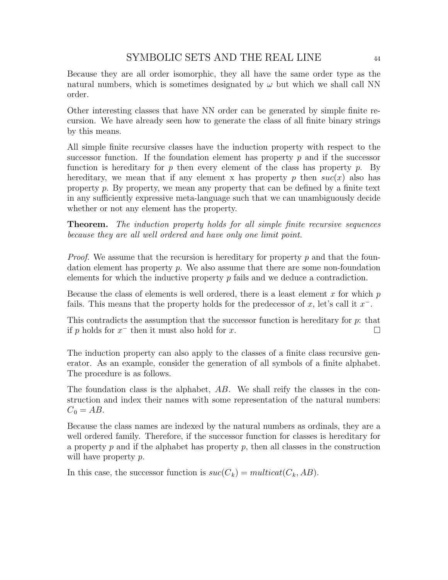Because they are all order isomorphic, they all have the same order type as the natural numbers, which is sometimes designated by  $\omega$  but which we shall call NN order.

Other interesting classes that have NN order can be generated by simple finite recursion. We have already seen how to generate the class of all finite binary strings by this means.

All simple finite recursive classes have the induction property with respect to the successor function. If the foundation element has property  $p$  and if the successor function is hereditary for p then every element of the class has property p. By hereditary, we mean that if any element x has property p then  $suc(x)$  also has property p. By property, we mean any property that can be defined by a finite text in any sufficiently expressive meta-language such that we can unambiguously decide whether or not any element has the property.

**Theorem.** The induction property holds for all simple finite recursive sequences because they are all well ordered and have only one limit point.

*Proof.* We assume that the recursion is hereditary for property  $p$  and that the foundation element has property  $p$ . We also assume that there are some non-foundation elements for which the inductive property  $p$  fails and we deduce a contradiction.

Because the class of elements is well ordered, there is a least element  $x$  for which  $p$ fails. This means that the property holds for the predecessor of  $x$ , let's call it  $x^-$ .

This contradicts the assumption that the successor function is hereditary for p: that if p holds for  $x^-$  then it must also hold for x.  $□$ 

The induction property can also apply to the classes of a finite class recursive generator. As an example, consider the generation of all symbols of a finite alphabet. The procedure is as follows.

The foundation class is the alphabet, AB. We shall reify the classes in the construction and index their names with some representation of the natural numbers:  $C_0 = AB$ .

Because the class names are indexed by the natural numbers as ordinals, they are a well ordered family. Therefore, if the successor function for classes is hereditary for a property  $p$  and if the alphabet has property  $p$ , then all classes in the construction will have property p.

In this case, the successor function is  $suc(C_k) = multicat(C_k, AB)$ .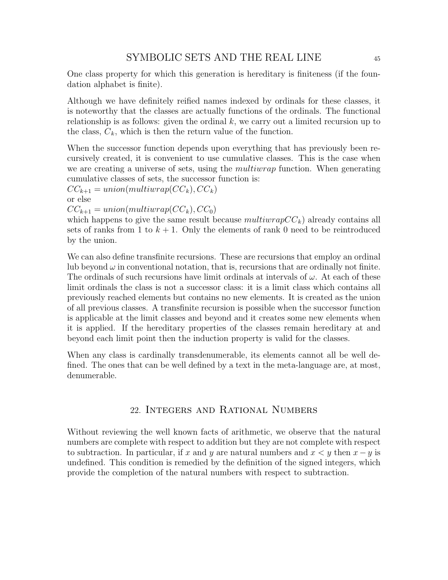One class property for which this generation is hereditary is finiteness (if the foundation alphabet is finite).

Although we have definitely reified names indexed by ordinals for these classes, it is noteworthy that the classes are actually functions of the ordinals. The functional relationship is as follows: given the ordinal  $k$ , we carry out a limited recursion up to the class,  $C_k$ , which is then the return value of the function.

When the successor function depends upon everything that has previously been recursively created, it is convenient to use cumulative classes. This is the case when we are creating a universe of sets, using the *multiwrap* function. When generating cumulative classes of sets, the successor function is:

 $CC_{k+1} = union(multiwrap(CC_k), CC_k)$ 

or else

 $CC_{k+1} = union(multiwrap(CC_k), CC_0)$ 

which happens to give the same result because  $multiwrapCC_k$ ) already contains all sets of ranks from 1 to  $k + 1$ . Only the elements of rank 0 need to be reintroduced by the union.

We can also define transfinite recursions. These are recursions that employ an ordinal lub beyond  $\omega$  in conventional notation, that is, recursions that are ordinally not finite. The ordinals of such recursions have limit ordinals at intervals of  $\omega$ . At each of these limit ordinals the class is not a successor class: it is a limit class which contains all previously reached elements but contains no new elements. It is created as the union of all previous classes. A transfinite recursion is possible when the successor function is applicable at the limit classes and beyond and it creates some new elements when it is applied. If the hereditary properties of the classes remain hereditary at and beyond each limit point then the induction property is valid for the classes.

When any class is cardinally transdenumerable, its elements cannot all be well defined. The ones that can be well defined by a text in the meta-language are, at most, denumerable.

## 22. Integers and Rational Numbers

Without reviewing the well known facts of arithmetic, we observe that the natural numbers are complete with respect to addition but they are not complete with respect to subtraction. In particular, if x and y are natural numbers and  $x \leq y$  then  $x - y$  is undefined. This condition is remedied by the definition of the signed integers, which provide the completion of the natural numbers with respect to subtraction.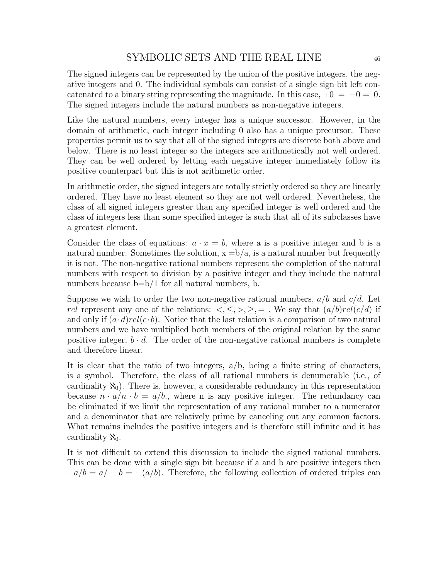The signed integers can be represented by the union of the positive integers, the negative integers and 0. The individual symbols can consist of a single sign bit left concatenated to a binary string representing the magnitude. In this case,  $+0 = -0 = 0$ . The signed integers include the natural numbers as non-negative integers.

Like the natural numbers, every integer has a unique successor. However, in the domain of arithmetic, each integer including 0 also has a unique precursor. These properties permit us to say that all of the signed integers are discrete both above and below. There is no least integer so the integers are arithmetically not well ordered. They can be well ordered by letting each negative integer immediately follow its positive counterpart but this is not arithmetic order.

In arithmetic order, the signed integers are totally strictly ordered so they are linearly ordered. They have no least element so they are not well ordered. Nevertheless, the class of all signed integers greater than any specified integer is well ordered and the class of integers less than some specified integer is such that all of its subclasses have a greatest element.

Consider the class of equations:  $a \cdot x = b$ , where a is a positive integer and b is a natural number. Sometimes the solution,  $x = b/a$ , is a natural number but frequently it is not. The non-negative rational numbers represent the completion of the natural numbers with respect to division by a positive integer and they include the natural numbers because  $b=b/1$  for all natural numbers, b.

Suppose we wish to order the two non-negative rational numbers,  $a/b$  and  $c/d$ . Let *rel* represent any one of the relations:  $\langle \xi, \xi, \xi \rangle$ ,  $\geq$ ,  $\equiv$  . We say that  $(a/b)rel(c/d)$  if and only if  $(a \cdot d)rel(c \cdot b)$ . Notice that the last relation is a comparison of two natural numbers and we have multiplied both members of the original relation by the same positive integer,  $b \cdot d$ . The order of the non-negative rational numbers is complete and therefore linear.

It is clear that the ratio of two integers, a/b, being a finite string of characters, is a symbol. Therefore, the class of all rational numbers is denumerable (i.e., of cardinality  $\aleph_0$ ). There is, however, a considerable redundancy in this representation because  $n \cdot a/n \cdot b = a/b$ , where n is any positive integer. The redundancy can be eliminated if we limit the representation of any rational number to a numerator and a denominator that are relatively prime by canceling out any common factors. What remains includes the positive integers and is therefore still infinite and it has cardinality  $\aleph_0$ .

It is not difficult to extend this discussion to include the signed rational numbers. This can be done with a single sign bit because if a and b are positive integers then  $-a/b = a/- b = -(a/b)$ . Therefore, the following collection of ordered triples can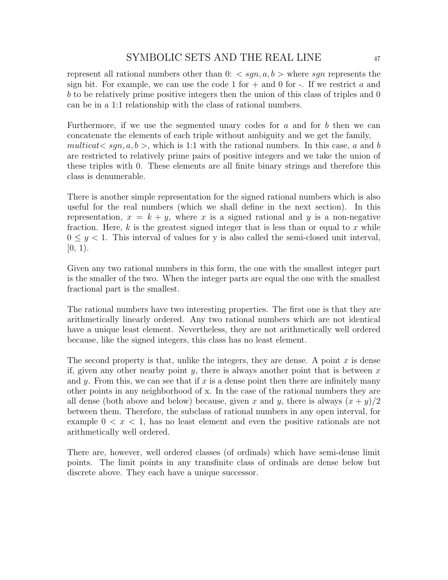represent all rational numbers other than  $0: < sgn, a, b$  where sqn represents the sign bit. For example, we can use the code 1 for  $+$  and 0 for  $-$ . If we restrict a and b to be relatively prime positive integers then the union of this class of triples and 0 can be in a 1:1 relationship with the class of rational numbers.

Furthermore, if we use the segmented unary codes for a and for b then we can concatenate the elements of each triple without ambiguity and we get the family, multicat $\langle sgn, a, b \rangle$ , which is 1:1 with the rational numbers. In this case, a and b are restricted to relatively prime pairs of positive integers and we take the union of these triples with 0. These elements are all finite binary strings and therefore this class is denumerable.

There is another simple representation for the signed rational numbers which is also useful for the real numbers (which we shall define in the next section). In this representation,  $x = k + y$ , where x is a signed rational and y is a non-negative fraction. Here,  $k$  is the greatest signed integer that is less than or equal to  $x$  while  $0 \leq y \leq 1$ . This interval of values for y is also called the semi-closed unit interval,  $[0, 1)$ .

Given any two rational numbers in this form, the one with the smallest integer part is the smaller of the two. When the integer parts are equal the one with the smallest fractional part is the smallest.

The rational numbers have two interesting properties. The first one is that they are arithmetically linearly ordered. Any two rational numbers which are not identical have a unique least element. Nevertheless, they are not arithmetically well ordered because, like the signed integers, this class has no least element.

The second property is that, unlike the integers, they are dense. A point  $x$  is dense if, given any other nearby point  $y$ , there is always another point that is between  $x$ and y. From this, we can see that if x is a dense point then there are infinitely many other points in any neighborhood of x. In the case of the rational numbers they are all dense (both above and below) because, given x and y, there is always  $(x + y)/2$ between them. Therefore, the subclass of rational numbers in any open interval, for example  $0 < x < 1$ , has no least element and even the positive rationals are not arithmetically well ordered.

There are, however, well ordered classes (of ordinals) which have semi-dense limit points. The limit points in any transfinite class of ordinals are dense below but discrete above. They each have a unique successor.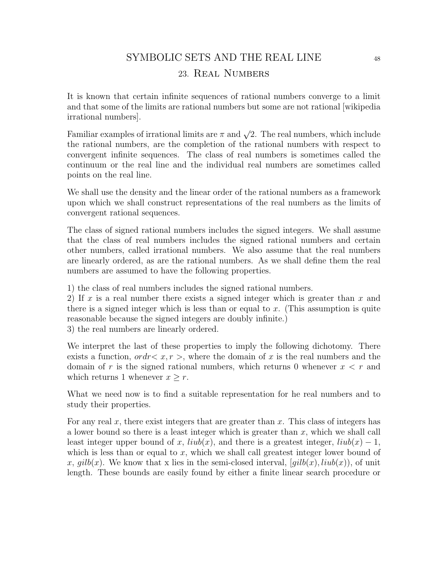## 23. Real Numbers

It is known that certain infinite sequences of rational numbers converge to a limit and that some of the limits are rational numbers but some are not rational [wikipedia irrational numbers].

Familiar examples of irrational limits are  $\pi$  and  $\sqrt{2}$ . The real numbers, which include the rational numbers, are the completion of the rational numbers with respect to convergent infinite sequences. The class of real numbers is sometimes called the continuum or the real line and the individual real numbers are sometimes called points on the real line.

We shall use the density and the linear order of the rational numbers as a framework upon which we shall construct representations of the real numbers as the limits of convergent rational sequences.

The class of signed rational numbers includes the signed integers. We shall assume that the class of real numbers includes the signed rational numbers and certain other numbers, called irrational numbers. We also assume that the real numbers are linearly ordered, as are the rational numbers. As we shall define them the real numbers are assumed to have the following properties.

1) the class of real numbers includes the signed rational numbers.

2) If x is a real number there exists a signed integer which is greater than x and there is a signed integer which is less than or equal to  $x$ . (This assumption is quite reasonable because the signed integers are doubly infinite.) 3) the real numbers are linearly ordered.

We interpret the last of these properties to imply the following dichotomy. There exists a function,  $ordr < x, r >$ , where the domain of x is the real numbers and the domain of r is the signed rational numbers, which returns 0 whenever  $x < r$  and which returns 1 whenever  $x > r$ .

What we need now is to find a suitable representation for he real numbers and to study their properties.

For any real  $x$ , there exist integers that are greater than  $x$ . This class of integers has a lower bound so there is a least integer which is greater than  $x$ , which we shall call least integer upper bound of x,  $l_iub(x)$ , and there is a greatest integer,  $l_iub(x) - 1$ , which is less than or equal to x, which we shall call greatest integer lower bound of x, gilb(x). We know that x lies in the semi-closed interval,  $[qilb(x), liub(x)]$ , of unit length. These bounds are easily found by either a finite linear search procedure or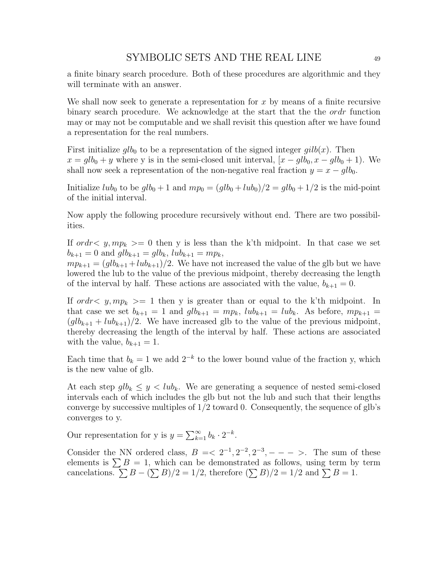a finite binary search procedure. Both of these procedures are algorithmic and they will terminate with an answer.

We shall now seek to generate a representation for  $x$  by means of a finite recursive binary search procedure. We acknowledge at the start that the the ordr function may or may not be computable and we shall revisit this question after we have found a representation for the real numbers.

First initialize  $glb_0$  to be a representation of the signed integer  $gilb(x)$ . Then  $x = glb_0 + y$  where y is in the semi-closed unit interval,  $[x - glb_0, x - glb_0 + 1]$ . We shall now seek a representation of the non-negative real fraction  $y = x - glb_0$ .

Initialize  $lub_0$  to be  $glb_0 + 1$  and  $mp_0 = (glb_0 + lub_0)/2 = glb_0 + 1/2$  is the mid-point of the initial interval.

Now apply the following procedure recursively without end. There are two possibilities.

If ordr $y, mp_k \geq 0$  then y is less than the k'th midpoint. In that case we set  $b_{k+1} = 0$  and  $glb_{k+1} = glb_k$ ,  $lub_{k+1} = mp_k$ ,

 $mp_{k+1} = (glb_{k+1} + lub_{k+1})/2$ . We have not increased the value of the glb but we have lowered the lub to the value of the previous midpoint, thereby decreasing the length of the interval by half. These actions are associated with the value,  $b_{k+1} = 0$ .

If ordr $\langle y, mp_k \rangle = 1$  then y is greater than or equal to the k'th midpoint. In that case we set  $b_{k+1} = 1$  and  $glb_{k+1} = mp_k$ ,  $lub_{k+1} = lub_k$ . As before,  $mp_{k+1} =$  $(glb_{k+1} + lub_{k+1})/2$ . We have increased glb to the value of the previous midpoint, thereby decreasing the length of the interval by half. These actions are associated with the value,  $b_{k+1} = 1$ .

Each time that  $b_k = 1$  we add  $2^{-k}$  to the lower bound value of the fraction y, which is the new value of glb.

At each step  $glb_k \leq y < lub_k$ . We are generating a sequence of nested semi-closed intervals each of which includes the glb but not the lub and such that their lengths converge by successive multiples of  $1/2$  toward 0. Consequently, the sequence of glb's converges to y.

Our representation for y is  $y = \sum_{k=1}^{\infty} b_k \cdot 2^{-k}$ .

Consider the NN ordered class,  $B = \langle 2^{-1}, 2^{-2}, 2^{-3}, - - - \rangle$ . The sum of these elements is  $\sum B = 1$ , which can be demonstrated as follows, using term by term cancelations.  $\sum B - (\sum B)/2 = 1/2$ , therefore  $(\sum B)/2 = 1/2$  and  $\sum B = 1$ .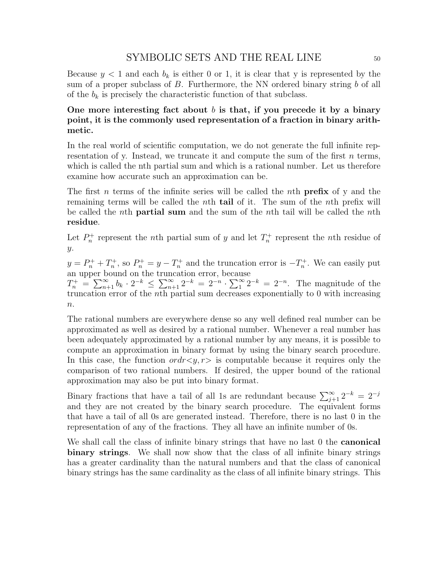Because  $y < 1$  and each  $b_k$  is either 0 or 1, it is clear that y is represented by the sum of a proper subclass of B. Furthermore, the NN ordered binary string b of all of the  $b_k$  is precisely the characteristic function of that subclass.

### One more interesting fact about b is that, if you precede it by a binary point, it is the commonly used representation of a fraction in binary arithmetic.

In the real world of scientific computation, we do not generate the full infinite representation of y. Instead, we truncate it and compute the sum of the first  $n$  terms, which is called the nth partial sum and which is a rational number. Let us therefore examine how accurate such an approximation can be.

The first n terms of the infinite series will be called the nth **prefix** of y and the remaining terms will be called the nth tail of it. The sum of the nth prefix will be called the *n*th **partial sum** and the sum of the *n*th tail will be called the *n*th residue.

Let  $P_n^+$  represent the nth partial sum of y and let  $T_n^+$  represent the nth residue of  $\hat{y}$ .

 $y = P_n^+ + T_n^+$ , so  $P_n^+ = y - T_n^+$  and the truncation error is  $-T_n^+$ . We can easily put an upper bound on the truncation error, because

 $T_n^+ = \sum_{n=1}^{\infty} b_k \cdot 2^{-k} \le \sum_{n=1}^{\infty} 2^{-k} = 2^{-n} \cdot \sum_{1}^{\infty} 2^{-k} = 2^{-n}$ . The magnitude of the truncation error of the nth partial sum decreases exponentially to 0 with increasing  $n$ .

The rational numbers are everywhere dense so any well defined real number can be approximated as well as desired by a rational number. Whenever a real number has been adequately approximated by a rational number by any means, it is possible to compute an approximation in binary format by using the binary search procedure. In this case, the function  $ordr \lt y, r >$  is computable because it requires only the comparison of two rational numbers. If desired, the upper bound of the rational approximation may also be put into binary format.

Binary fractions that have a tail of all 1s are redundant because  $\sum_{j+1}^{\infty} 2^{-k} = 2^{-j}$ and they are not created by the binary search procedure. The equivalent forms that have a tail of all 0s are generated instead. Therefore, there is no last 0 in the representation of any of the fractions. They all have an infinite number of 0s.

We shall call the class of infinite binary strings that have no last 0 the **canonical** binary strings. We shall now show that the class of all infinite binary strings has a greater cardinality than the natural numbers and that the class of canonical binary strings has the same cardinality as the class of all infinite binary strings. This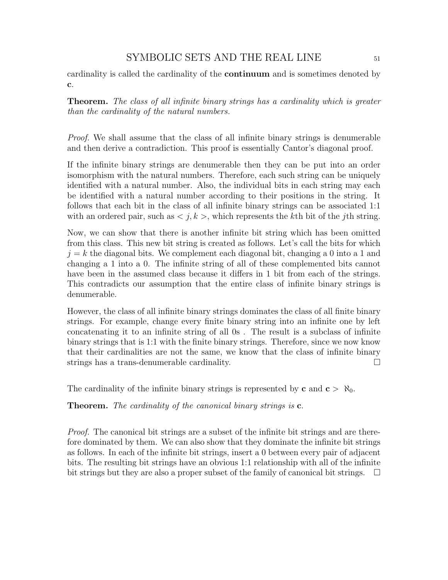cardinality is called the cardinality of the continuum and is sometimes denoted by c.

Theorem. The class of all infinite binary strings has a cardinality which is greater than the cardinality of the natural numbers.

Proof. We shall assume that the class of all infinite binary strings is denumerable and then derive a contradiction. This proof is essentially Cantor's diagonal proof.

If the infinite binary strings are denumerable then they can be put into an order isomorphism with the natural numbers. Therefore, each such string can be uniquely identified with a natural number. Also, the individual bits in each string may each be identified with a natural number according to their positions in the string. It follows that each bit in the class of all infinite binary strings can be associated 1:1 with an ordered pair, such as  $\langle j, k \rangle$ , which represents the kth bit of the jth string.

Now, we can show that there is another infinite bit string which has been omitted from this class. This new bit string is created as follows. Let's call the bits for which  $j = k$  the diagonal bits. We complement each diagonal bit, changing a 0 into a 1 and changing a 1 into a 0. The infinite string of all of these complemented bits cannot have been in the assumed class because it differs in 1 bit from each of the strings. This contradicts our assumption that the entire class of infinite binary strings is denumerable.

However, the class of all infinite binary strings dominates the class of all finite binary strings. For example, change every finite binary string into an infinite one by left concatenating it to an infinite string of all 0s . The result is a subclass of infinite binary strings that is 1:1 with the finite binary strings. Therefore, since we now know that their cardinalities are not the same, we know that the class of infinite binary strings has a trans-denumerable cardinality.

The cardinality of the infinite binary strings is represented by c and  $c > \aleph_0$ .

**Theorem.** The cardinality of the canonical binary strings is  $c$ .

Proof. The canonical bit strings are a subset of the infinite bit strings and are therefore dominated by them. We can also show that they dominate the infinite bit strings as follows. In each of the infinite bit strings, insert a 0 between every pair of adjacent bits. The resulting bit strings have an obvious 1:1 relationship with all of the infinite bit strings but they are also a proper subset of the family of canonical bit strings.  $\Box$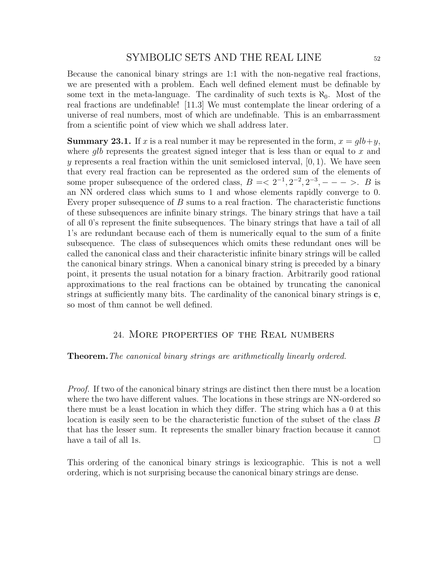Because the canonical binary strings are 1:1 with the non-negative real fractions, we are presented with a problem. Each well defined element must be definable by some text in the meta-language. The cardinality of such texts is  $\aleph_0$ . Most of the real fractions are undefinable! [11.3] We must contemplate the linear ordering of a universe of real numbers, most of which are undefinable. This is an embarrassment from a scientific point of view which we shall address later.

**Summary 23.1.** If x is a real number it may be represented in the form,  $x = glb+y$ , where glb represents the greatest signed integer that is less than or equal to  $x$  and y represents a real fraction within the unit semiclosed interval,  $[0, 1)$ . We have seen that every real fraction can be represented as the ordered sum of the elements of some proper subsequence of the ordered class,  $B = \langle 2^{-1}, 2^{-2}, 2^{-3}, - - - \rangle$ . B is an NN ordered class which sums to 1 and whose elements rapidly converge to 0. Every proper subsequence of B sums to a real fraction. The characteristic functions of these subsequences are infinite binary strings. The binary strings that have a tail of all 0's represent the finite subsequences. The binary strings that have a tail of all 1's are redundant because each of them is numerically equal to the sum of a finite subsequence. The class of subsequences which omits these redundant ones will be called the canonical class and their characteristic infinite binary strings will be called the canonical binary strings. When a canonical binary string is preceded by a binary point, it presents the usual notation for a binary fraction. Arbitrarily good rational approximations to the real fractions can be obtained by truncating the canonical strings at sufficiently many bits. The cardinality of the canonical binary strings is c, so most of thm cannot be well defined.

#### 24. More properties of the Real numbers

#### Theorem.The canonical binary strings are arithmetically linearly ordered.

Proof. If two of the canonical binary strings are distinct then there must be a location where the two have different values. The locations in these strings are NN-ordered so there must be a least location in which they differ. The string which has a 0 at this location is easily seen to be the characteristic function of the subset of the class B that has the lesser sum. It represents the smaller binary fraction because it cannot have a tail of all 1s.  $\Box$ 

This ordering of the canonical binary strings is lexicographic. This is not a well ordering, which is not surprising because the canonical binary strings are dense.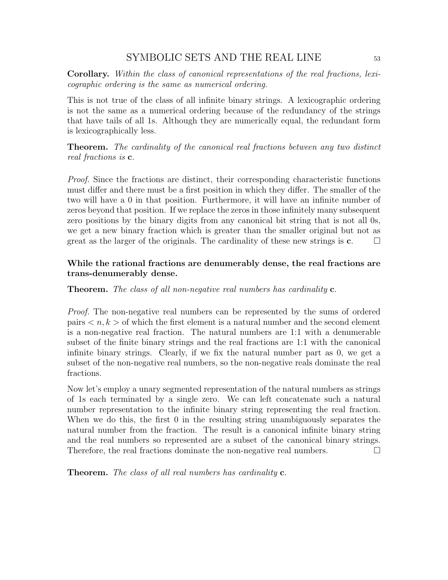Corollary. Within the class of canonical representations of the real fractions, lexicographic ordering is the same as numerical ordering.

This is not true of the class of all infinite binary strings. A lexicographic ordering is not the same as a numerical ordering because of the redundancy of the strings that have tails of all 1s. Although they are numerically equal, the redundant form is lexicographically less.

Theorem. The cardinality of the canonical real fractions between any two distinct real fractions is c.

Proof. Since the fractions are distinct, their corresponding characteristic functions must differ and there must be a first position in which they differ. The smaller of the two will have a 0 in that position. Furthermore, it will have an infinite number of zeros beyond that position. If we replace the zeros in those infinitely many subsequent zero positions by the binary digits from any canonical bit string that is not all 0s, we get a new binary fraction which is greater than the smaller original but not as great as the larger of the originals. The cardinality of these new strings is  $c$ .  $\Box$ 

## While the rational fractions are denumerably dense, the real fractions are trans-denumerably dense.

### Theorem. The class of all non-negative real numbers has cardinality c.

Proof. The non-negative real numbers can be represented by the sums of ordered pairs  $\langle n, k \rangle$  of which the first element is a natural number and the second element is a non-negative real fraction. The natural numbers are 1:1 with a denumerable subset of the finite binary strings and the real fractions are 1:1 with the canonical infinite binary strings. Clearly, if we fix the natural number part as 0, we get a subset of the non-negative real numbers, so the non-negative reals dominate the real fractions.

Now let's employ a unary segmented representation of the natural numbers as strings of 1s each terminated by a single zero. We can left concatenate such a natural number representation to the infinite binary string representing the real fraction. When we do this, the first 0 in the resulting string unambiguously separates the natural number from the fraction. The result is a canonical infinite binary string and the real numbers so represented are a subset of the canonical binary strings. Therefore, the real fractions dominate the non-negative real numbers.  $\Box$ 

**Theorem.** The class of all real numbers has cardinality **c**.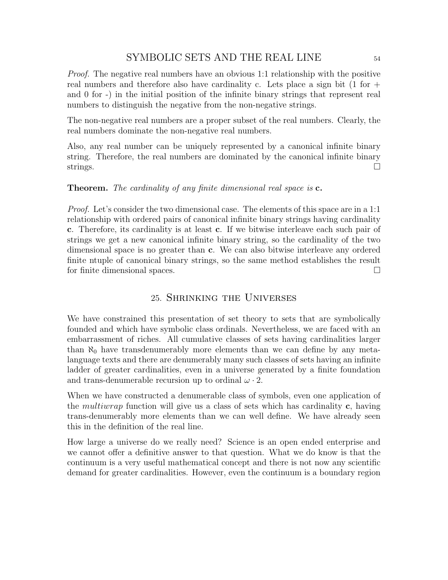Proof. The negative real numbers have an obvious 1:1 relationship with the positive real numbers and therefore also have cardinality c. Lets place a sign bit (1 for + and 0 for -) in the initial position of the infinite binary strings that represent real numbers to distinguish the negative from the non-negative strings.

The non-negative real numbers are a proper subset of the real numbers. Clearly, the real numbers dominate the non-negative real numbers.

Also, any real number can be uniquely represented by a canonical infinite binary string. Therefore, the real numbers are dominated by the canonical infinite binary strings.  $\Box$ 

### Theorem. The cardinality of any finite dimensional real space is c.

Proof. Let's consider the two dimensional case. The elements of this space are in a 1:1 relationship with ordered pairs of canonical infinite binary strings having cardinality c. Therefore, its cardinality is at least c. If we bitwise interleave each such pair of strings we get a new canonical infinite binary string, so the cardinality of the two dimensional space is no greater than c. We can also bitwise interleave any ordered finite ntuple of canonical binary strings, so the same method establishes the result for finite dimensional spaces.

## 25. Shrinking the Universes

We have constrained this presentation of set theory to sets that are symbolically founded and which have symbolic class ordinals. Nevertheless, we are faced with an embarrassment of riches. All cumulative classes of sets having cardinalities larger than  $\aleph_0$  have transdenumerably more elements than we can define by any metalanguage texts and there are denumerably many such classes of sets having an infinite ladder of greater cardinalities, even in a universe generated by a finite foundation and trans-denumerable recursion up to ordinal  $\omega \cdot 2$ .

When we have constructed a denumerable class of symbols, even one application of the multiwrap function will give us a class of sets which has cardinality c, having trans-denumerably more elements than we can well define. We have already seen this in the definition of the real line.

How large a universe do we really need? Science is an open ended enterprise and we cannot offer a definitive answer to that question. What we do know is that the continuum is a very useful mathematical concept and there is not now any scientific demand for greater cardinalities. However, even the continuum is a boundary region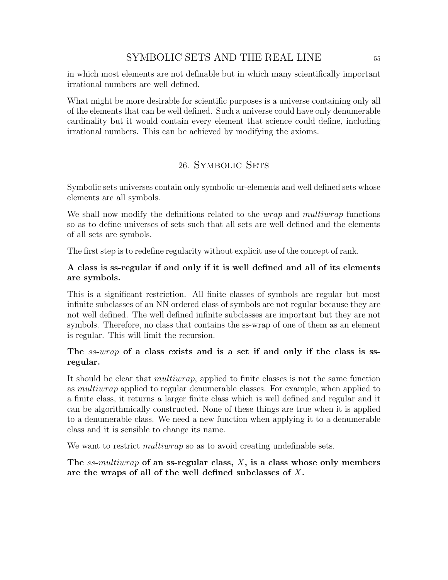in which most elements are not definable but in which many scientifically important irrational numbers are well defined.

What might be more desirable for scientific purposes is a universe containing only all of the elements that can be well defined. Such a universe could have only denumerable cardinality but it would contain every element that science could define, including irrational numbers. This can be achieved by modifying the axioms.

## 26. SYMBOLIC SETS

Symbolic sets universes contain only symbolic ur-elements and well defined sets whose elements are all symbols.

We shall now modify the definitions related to the *wrap* and *multiwrap* functions so as to define universes of sets such that all sets are well defined and the elements of all sets are symbols.

The first step is to redefine regularity without explicit use of the concept of rank.

## A class is ss-regular if and only if it is well defined and all of its elements are symbols.

This is a significant restriction. All finite classes of symbols are regular but most infinite subclasses of an NN ordered class of symbols are not regular because they are not well defined. The well defined infinite subclasses are important but they are not symbols. Therefore, no class that contains the ss-wrap of one of them as an element is regular. This will limit the recursion.

## The *ss-wrap* of a class exists and is a set if and only if the class is ssregular.

It should be clear that multiwrap, applied to finite classes is not the same function as multiwrap applied to regular denumerable classes. For example, when applied to a finite class, it returns a larger finite class which is well defined and regular and it can be algorithmically constructed. None of these things are true when it is applied to a denumerable class. We need a new function when applying it to a denumerable class and it is sensible to change its name.

We want to restrict *multiwrap* so as to avoid creating undefinable sets.

## The ss-multiwrap of an ss-regular class,  $X$ , is a class whose only members are the wraps of all of the well defined subclasses of X.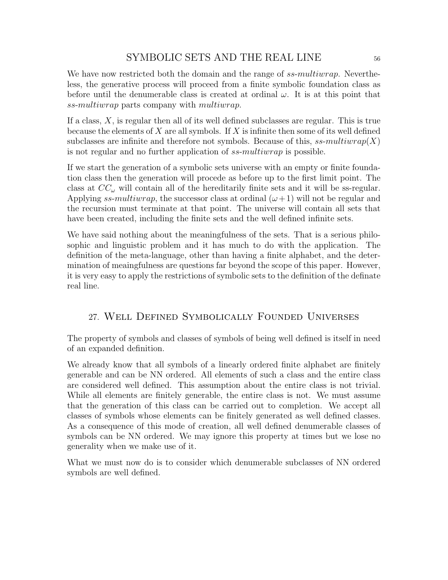We have now restricted both the domain and the range of ss-multiwrap. Nevertheless, the generative process will proceed from a finite symbolic foundation class as before until the denumerable class is created at ordinal  $\omega$ . It is at this point that ss-multiwrap parts company with multiwrap.

If a class,  $X$ , is regular then all of its well defined subclasses are regular. This is true because the elements of  $X$  are all symbols. If  $X$  is infinite then some of its well defined subclasses are infinite and therefore not symbols. Because of this,  $ss-multiwrap(X)$ is not regular and no further application of ss-multiwrap is possible.

If we start the generation of a symbolic sets universe with an empty or finite foundation class then the generation will procede as before up to the first limit point. The class at  $CC_{\omega}$  will contain all of the hereditarily finite sets and it will be ss-regular. Applying ss-multiwrap, the successor class at ordinal  $(\omega + 1)$  will not be regular and the recursion must terminate at that point. The universe will contain all sets that have been created, including the finite sets and the well defined infinite sets.

We have said nothing about the meaningfulness of the sets. That is a serious philosophic and linguistic problem and it has much to do with the application. The definition of the meta-language, other than having a finite alphabet, and the determination of meaingfulness are questions far beyond the scope of this paper. However, it is very easy to apply the restrictions of symbolic sets to the definition of the definate real line.

# 27. Well Defined Symbolically Founded Universes

The property of symbols and classes of symbols of being well defined is itself in need of an expanded definition.

We already know that all symbols of a linearly ordered finite alphabet are finitely generable and can be NN ordered. All elements of such a class and the entire class are considered well defined. This assumption about the entire class is not trivial. While all elements are finitely generable, the entire class is not. We must assume that the generation of this class can be carried out to completion. We accept all classes of symbols whose elements can be finitely generated as well defined classes. As a consequence of this mode of creation, all well defined denumerable classes of symbols can be NN ordered. We may ignore this property at times but we lose no generality when we make use of it.

What we must now do is to consider which denumerable subclasses of NN ordered symbols are well defined.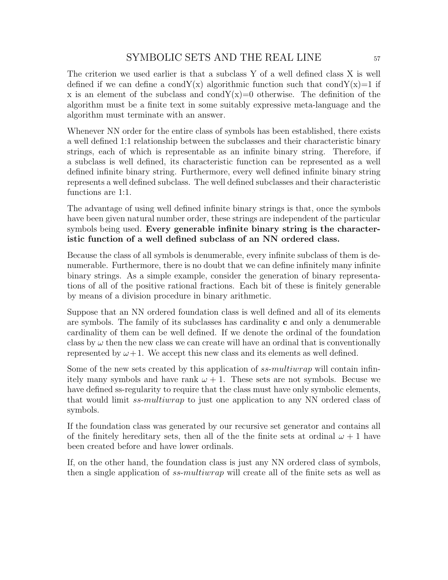The criterion we used earlier is that a subclass Y of a well defined class X is well defined if we can define a condY(x) algorithmic function such that condY(x)=1 if x is an element of the subclass and cond $Y(x)=0$  otherwise. The definition of the algorithm must be a finite text in some suitably expressive meta-language and the algorithm must terminate with an answer.

Whenever NN order for the entire class of symbols has been established, there exists a well defined 1:1 relationship between the subclasses and their characteristic binary strings, each of which is representable as an infinite binary string. Therefore, if a subclass is well defined, its characteristic function can be represented as a well defined infinite binary string. Furthermore, every well defined infinite binary string represents a well defined subclass. The well defined subclasses and their characteristic functions are 1:1.

The advantage of using well defined infinite binary strings is that, once the symbols have been given natural number order, these strings are independent of the particular symbols being used. Every generable infinite binary string is the characteristic function of a well defined subclass of an NN ordered class.

Because the class of all symbols is denumerable, every infinite subclass of them is denumerable. Furthermore, there is no doubt that we can define infinitely many infinite binary strings. As a simple example, consider the generation of binary representations of all of the positive rational fractions. Each bit of these is finitely generable by means of a division procedure in binary arithmetic.

Suppose that an NN ordered foundation class is well defined and all of its elements are symbols. The family of its subclasses has cardinality  $c$  and only a denumerable cardinality of them can be well defined. If we denote the ordinal of the foundation class by  $\omega$  then the new class we can create will have an ordinal that is conventionally represented by  $\omega+1$ . We accept this new class and its elements as well defined.

Some of the new sets created by this application of ss-multiwrap will contain infinitely many symbols and have rank  $\omega + 1$ . These sets are not symbols. Becuse we have defined ss-regularity to require that the class must have only symbolic elements, that would limit *ss-multiwrap* to just one application to any NN ordered class of symbols.

If the foundation class was generated by our recursive set generator and contains all of the finitely hereditary sets, then all of the the finite sets at ordinal  $\omega + 1$  have been created before and have lower ordinals.

If, on the other hand, the foundation class is just any NN ordered class of symbols, then a single application of ss-multiwrap will create all of the finite sets as well as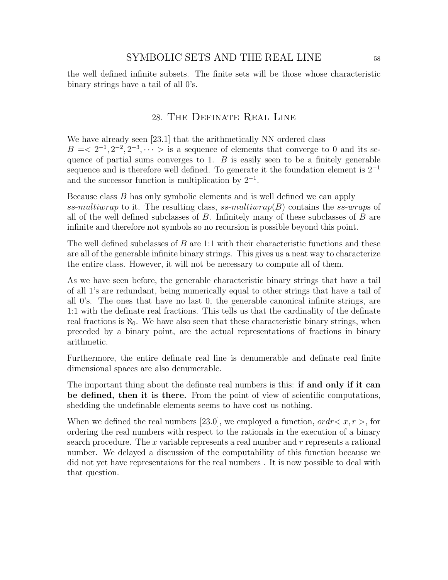the well defined infinite subsets. The finite sets will be those whose characteristic binary strings have a tail of all 0's.

### 28. The Definate Real Line

We have already seen [23.1] that the arithmetically NN ordered class  $B = \langle 2^{-1}, 2^{-2}, 2^{-3}, \cdots \rangle$  is a sequence of elements that converge to 0 and its sequence of partial sums converges to 1.  $B$  is easily seen to be a finitely generable sequence and is therefore well defined. To generate it the foundation element is  $2^{-1}$ and the successor function is multiplication by  $2^{-1}$ .

Because class B has only symbolic elements and is well defined we can apply ss-multiwrap to it. The resulting class, ss-multiwrap( $B$ ) contains the ss-wraps of all of the well defined subclasses of  $B$ . Infinitely many of these subclasses of  $B$  are infinite and therefore not symbols so no recursion is possible beyond this point.

The well defined subclasses of  $B$  are 1:1 with their characteristic functions and these are all of the generable infinite binary strings. This gives us a neat way to characterize the entire class. However, it will not be necessary to compute all of them.

As we have seen before, the generable characteristic binary strings that have a tail of all 1's are redundant, being numerically equal to other strings that have a tail of all 0's. The ones that have no last 0, the generable canonical infinite strings, are 1:1 with the definate real fractions. This tells us that the cardinality of the definate real fractions is  $\aleph_0$ . We have also seen that these characteristic binary strings, when preceded by a binary point, are the actual representations of fractions in binary arithmetic.

Furthermore, the entire definate real line is denumerable and definate real finite dimensional spaces are also denumerable.

The important thing about the definate real numbers is this: **if and only if it can** be defined, then it is there. From the point of view of scientific computations, shedding the undefinable elements seems to have cost us nothing.

When we defined the real numbers [23.0], we employed a function,  $\sigma r < x, r >$ , for ordering the real numbers with respect to the rationals in the execution of a binary search procedure. The  $x$  variable represents a real number and  $r$  represents a rational number. We delayed a discussion of the computability of this function because we did not yet have representaions for the real numbers . It is now possible to deal with that question.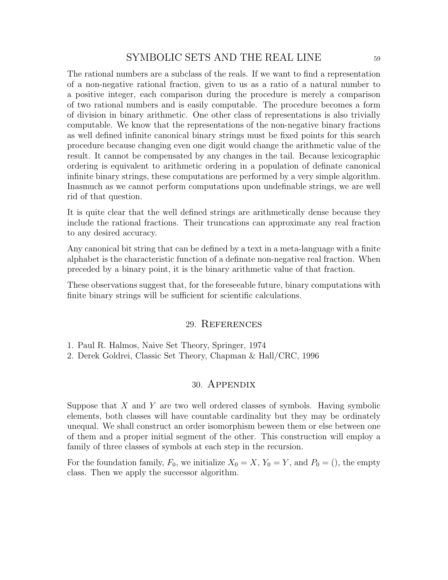The rational numbers are a subclass of the reals. If we want to find a representation of a non-negative rational fraction, given to us as a ratio of a natural number to a positive integer, each comparison during the procedure is merely a comparison of two rational numbers and is easily computable. The procedure becomes a form of division in binary arithmetic. One other class of representations is also trivially computable. We know that the representations of the non-negative binary fractions as well defined infinite canonical binary strings must be fixed points for this search procedure because changing even one digit would change the arithmetic value of the result. It cannot be compensated by any changes in the tail. Because lexicographic ordering is equivalent to arithmetic ordering in a population of definate canonical infinite binary strings, these computations are performed by a very simple algorithm. Inasmuch as we cannot perform computations upon undefinable strings, we are well rid of that question.

It is quite clear that the well defined strings are arithmetically dense because they include the rational fractions. Their truncations can approximate any real fraction to any desired accuracy.

Any canonical bit string that can be defined by a text in a meta-language with a finite alphabet is the characteristic function of a definate non-negative real fraction. When preceded by a binary point, it is the binary arithmetic value of that fraction.

These observations suggest that, for the foreseeable future, binary computations with finite binary strings will be sufficient for scientific calculations.

#### 29. References

1. Paul R. Halmos, Naive Set Theory, Springer, 1974

2. Derek Goldrei, Classic Set Theory, Chapman & Hall/CRC, 1996

#### 30. Appendix

Suppose that  $X$  and  $Y$  are two well ordered classes of symbols. Having symbolic elements, both classes will have countable cardinality but they may be ordinately unequal. We shall construct an order isomorphism beween them or else between one of them and a proper initial segment of the other. This construction will employ a family of three classes of symbols at each step in the recursion.

For the foundation family,  $F_0$ , we initialize  $X_0 = X$ ,  $Y_0 = Y$ , and  $P_0 = ()$ , the empty class. Then we apply the successor algorithm.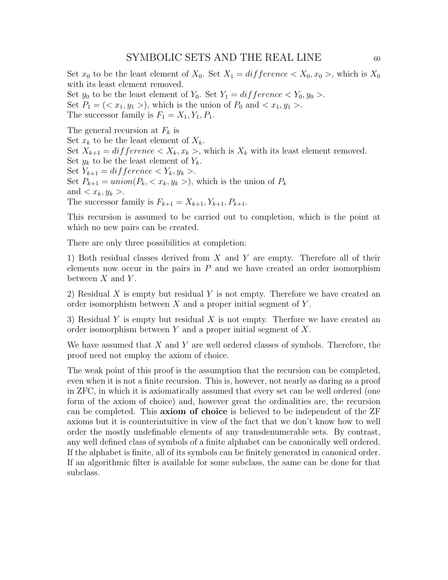Set  $x_0$  to be the least element of  $X_0$ . Set  $X_1 = difference < X_0, x_0 >$ , which is  $X_0$ with its least element removed. Set  $y_0$  to be the least element of  $Y_0$ . Set  $Y_1 = difference < Y_0, y_0 >$ . Set  $P_1 = \langle x_1, y_1 \rangle$ , which is the union of  $P_0$  and  $\langle x_1, y_1 \rangle$ . The successor family is  $F_1 = X_1, Y_1, P_1$ .

The general recursion at  $F_k$  is Set  $x_k$  to be the least element of  $X_k$ . Set  $X_{k+1} = \text{difference} < X_k, x_k >$ , which is  $X_k$  with its least element removed. Set  $y_k$  to be the least element of  $Y_k$ . Set  $Y_{k+1} = difference < Y_k, y_k >$ . Set  $P_{k+1} = union(P_k, \langle x_k, y_k \rangle)$ , which is the union of  $P_k$ and  $\langle x_k, y_k \rangle$ . The successor family is  $F_{k+1} = X_{k+1}, Y_{k+1}, P_{k+1}.$ 

This recursion is assumed to be carried out to completion, which is the point at which no new pairs can be created.

There are only three possibilities at completion:

1) Both residual classes derived from X and Y are empty. Therefore all of their elements now occur in the pairs in  $P$  and we have created an order isomorphism between  $X$  and  $Y$ .

2) Residual X is empty but residual Y is not empty. Therefore we have created an order isomorphism between  $X$  and a proper initial segment of  $Y$ .

3) Residual Y is empty but residual X is not empty. Therfore we have created an order isomorphism between  $Y$  and a proper initial segment of  $X$ .

We have assumed that  $X$  and  $Y$  are well ordered classes of symbols. Therefore, the proof need not employ the axiom of choice.

The weak point of this proof is the assumption that the recursion can be completed, even when it is not a finite recursion. This is, however, not nearly as daring as a proof in ZFC, in which it is axiomatically assumed that every set can be well ordered (one form of the axiom of choice) and, however great the ordinalities are, the recursion can be completed. This axiom of choice is believed to be independent of the ZF axioms but it is counterintuitive in view of the fact that we don't know how to well order the mostly undefinable elements of any transdenumerable sets. By contrast, any well defined class of symbols of a finite alphabet can be canonically well ordered. If the alphabet is finite, all of its symbols can be finitely generated in canonical order. If an algorithmic filter is available for some subclass, the same can be done for that subclass.